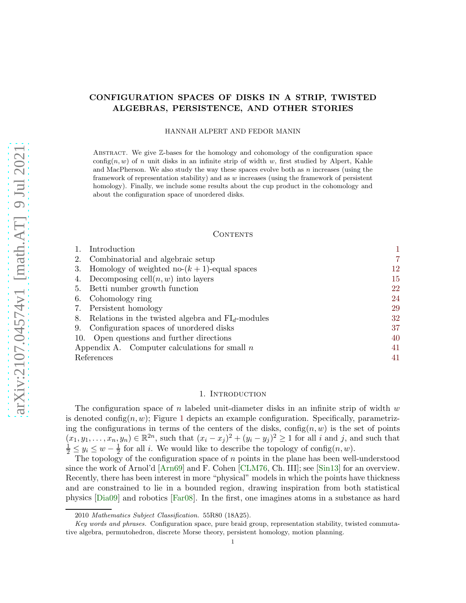# CONFIGURATION SPACES OF DISKS IN A STRIP, TWISTED ALGEBRAS, PERSISTENCE, AND OTHER STORIES

## HANNAH ALPERT AND FEDOR MANIN

Abstract. We give Z-bases for the homology and cohomology of the configuration space config $(n, w)$  of n unit disks in an infinite strip of width w, first studied by Alpert, Kahle and MacPherson. We also study the way these spaces evolve both as  $n$  increases (using the framework of representation stability) and as w increases (using the framework of persistent homology). Finally, we include some results about the cup product in the cohomology and about the configuration space of unordered disks.

### **CONTENTS**

| Introduction                                                 |    |
|--------------------------------------------------------------|----|
| Combinatorial and algebraic setup<br>2.                      |    |
| Homology of weighted no- $(k + 1)$ -equal spaces<br>3.       | 12 |
| Decomposing cell $(n, w)$ into layers                        | 15 |
| Betti number growth function<br>5.                           | 22 |
| Cohomology ring<br>6.                                        | 24 |
| Persistent homology<br>7.                                    | 29 |
| Relations in the twisted algebra and $FI_{d}$ -modules<br>8. | 32 |
| Configuration spaces of unordered disks<br>9.                | 37 |
| 10. Open questions and further directions                    | 40 |
| Appendix A. Computer calculations for small $n$              | 41 |
| References                                                   | 41 |

## 1. INTRODUCTION

<span id="page-0-0"></span>The configuration space of n labeled unit-diameter disks in an infinite strip of width  $w$ is denoted config $(n, w)$ ; Figure [1](#page-1-0) depicts an example configuration. Specifically, parametrizing the configurations in terms of the centers of the disks,  $\text{config}(n, w)$  is the set of points  $(x_1, y_1, \ldots, x_n, y_n) \in \mathbb{R}^{2n}$ , such that  $(x_i - x_j)^2 + (y_i - y_j)^2 \ge 1$  for all i and j, and such that  $\frac{1}{2} \le y_i \le w - \frac{1}{2}$  $\frac{1}{2}$  for all *i*. We would like to describe the topology of config $(n, w)$ .

The topology of the configuration space of  $n$  points in the plane has been well-understood since the work of Arnol'd [\[Arn69\]](#page-40-2) and F. Cohen [\[CLM76,](#page-40-3) Ch. III]; see [\[Sin13\]](#page-43-0) for an overview. Recently, there has been interest in more "physical" models in which the points have thickness and are constrained to lie in a bounded region, drawing inspiration from both statistical physics [\[Dia09\]](#page-40-4) and robotics [\[Far08\]](#page-40-5). In the first, one imagines atoms in a substance as hard

<sup>2010</sup> Mathematics Subject Classification. 55R80 (18A25).

Key words and phrases. Configuration space, pure braid group, representation stability, twisted commutative algebra, permutohedron, discrete Morse theory, persistent homology, motion planning.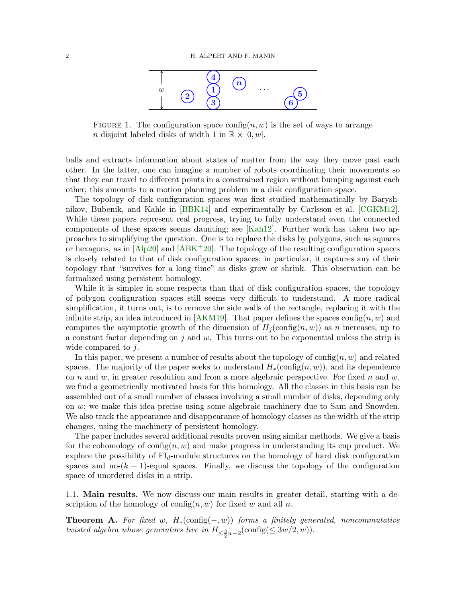

<span id="page-1-0"></span>FIGURE 1. The configuration space config $(n, w)$  is the set of ways to arrange n disjoint labeled disks of width 1 in  $\mathbb{R} \times [0, w]$ .

balls and extracts information about states of matter from the way they move past each other. In the latter, one can imagine a number of robots coordinating their movements so that they can travel to different points in a constrained region without bumping against each other; this amounts to a motion planning problem in a disk configuration space.

The topology of disk configuration spaces was first studied mathematically by Baryshnikov, Bubenik, and Kahle in [\[BBK14\]](#page-40-6) and experimentally by Carlsson et al. [\[CGKM12\]](#page-40-7). While these papers represent real progress, trying to fully understand even the connected components of these spaces seems daunting; see [\[Kah12\]](#page-41-0). Further work has taken two approaches to simplifying the question. One is to replace the disks by polygons, such as squares or hexagons, as in  $[A\bar{p}20]$  and  $[A\bar{B}K^+20]$ . The topology of the resulting configuration spaces is closely related to that of disk configuration spaces; in particular, it captures any of their topology that "survives for a long time" as disks grow or shrink. This observation can be formalized using persistent homology.

While it is simpler in some respects than that of disk configuration spaces, the topology of polygon configuration spaces still seems very difficult to understand. A more radical simplification, it turns out, is to remove the side walls of the rectangle, replacing it with the infinite strip, an idea introduced in [\[AKM19\]](#page-40-10). That paper defines the spaces config $(n, w)$  and computes the asymptotic growth of the dimension of  $H_i$  (config $(n, w)$ ) as n increases, up to a constant factor depending on  $j$  and  $w$ . This turns out to be exponential unless the strip is wide compared to *j*.

In this paper, we present a number of results about the topology of  $\text{config}(n, w)$  and related spaces. The majority of the paper seeks to understand  $H_*(\text{config}(n, w))$ , and its dependence on n and w, in greater resolution and from a more algebraic perspective. For fixed n and w, we find a geometrically motivated basis for this homology. All the classes in this basis can be assembled out of a small number of classes involving a small number of disks, depending only on w; we make this idea precise using some algebraic machinery due to Sam and Snowden. We also track the appearance and disappearance of homology classes as the width of the strip changes, using the machinery of persistent homology.

The paper includes several additional results proven using similar methods. We give a basis for the cohomology of config $(n, w)$  and make progress in understanding its cup product. We explore the possibility of  $FI<sub>d</sub>$ -module structures on the homology of hard disk configuration spaces and no- $(k + 1)$ -equal spaces. Finally, we discuss the topology of the configuration space of unordered disks in a strip.

1.1. Main results. We now discuss our main results in greater detail, starting with a description of the homology of config $(n, w)$  for fixed w and all n.

<span id="page-1-1"></span>**Theorem A.** For fixed w,  $H_*(\text{config}(-, w))$  forms a finitely generated, noncommutative twisted algebra whose generators live in  $H_{\leq \frac{3}{2}w-2}(\text{config}(\leq 3w/2,w)).$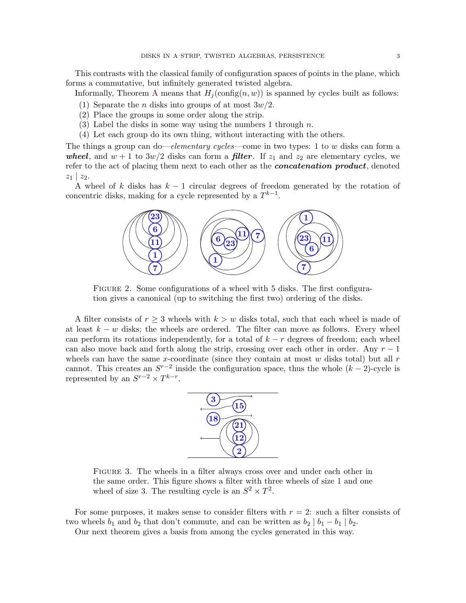This contrasts with the classical family of configuration spaces of points in the plane, which forms a commutative, but infinitely generated twisted algebra.

Informally, Theorem [A](#page-1-1) means that  $H_i(\text{config}(n, w))$  is spanned by cycles built as follows:

- (1) Separate the *n* disks into groups of at most  $3w/2$ .
- (2) Place the groups in some order along the strip.
- (3) Label the disks in some way using the numbers 1 through  $n$ .
- (4) Let each group do its own thing, without interacting with the others.

The things a group can do—elementary cycles—come in two types: 1 to w disks can form a wheel, and  $w + 1$  to  $3w/2$  disks can form a **filter**. If  $z_1$  and  $z_2$  are elementary cycles, we refer to the act of placing them next to each other as the *concatenation product*, denoted  $z_1 \mid z_2$ .

<span id="page-2-0"></span>A wheel of k disks has  $k - 1$  circular degrees of freedom generated by the rotation of concentric disks, making for a cycle represented by a  $T^{k-1}$ .



FIGURE 2. Some configurations of a wheel with 5 disks. The first configuration gives a canonical (up to switching the first two) ordering of the disks.

A filter consists of  $r \geq 3$  wheels with  $k > w$  disks total, such that each wheel is made of at least  $k - w$  disks; the wheels are ordered. The filter can move as follows. Every wheel can perform its rotations independently, for a total of  $k - r$  degrees of freedom; each wheel can also move back and forth along the strip, crossing over each other in order. Any  $r-1$ wheels can have the same x-coordinate (since they contain at most  $w$  disks total) but all  $r$ cannot. This creates an  $S^{r-2}$  inside the configuration space, thus the whole  $(k-2)$ -cycle is represented by an  $S^{r-2} \times T^{k-r}$ .



Figure 3. The wheels in a filter always cross over and under each other in the same order. This figure shows a filter with three wheels of size 1 and one wheel of size 3. The resulting cycle is an  $S^2 \times T^2$ .

For some purposes, it makes sense to consider filters with  $r = 2$ : such a filter consists of two wheels  $b_1$  and  $b_2$  that don't commute, and can be written as  $b_2 | b_1 - b_1 | b_2$ .

Our next theorem gives a basis from among the cycles generated in this way.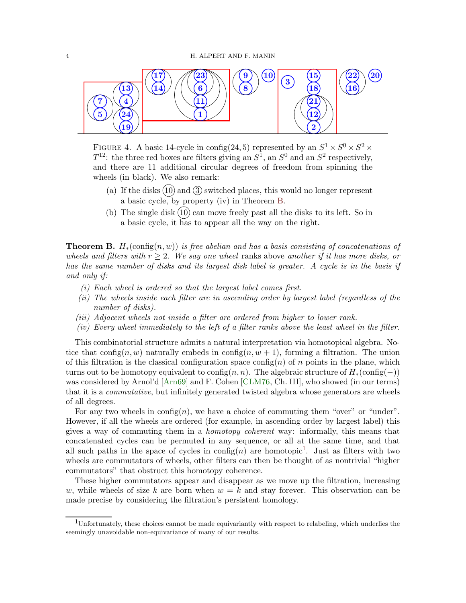

FIGURE 4. A basic 14-cycle in config(24,5) represented by an  $S^1 \times S^0 \times S^2 \times$  $T^{12}$ : the three red boxes are filters giving an  $S^1$ , an  $S^0$  and an  $S^2$  respectively, and there are 11 additional circular degrees of freedom from spinning the wheels (in black). We also remark:

- (a) If the disks  $(10)$  and  $(3)$  switched places, this would no longer represent a basic cycle, by property (iv) in Theorem [B.](#page-3-0)
- <span id="page-3-2"></span>(b) The single disk  $(10)$  can move freely past all the disks to its left. So in a basic cycle, it has to appear all the way on the right.

<span id="page-3-0"></span>**Theorem B.**  $H_*(\text{config}(n, w))$  is free abelian and has a basis consisting of concatenations of wheels and filters with  $r > 2$ . We say one wheel ranks above another if it has more disks, or has the same number of disks and its largest disk label is greater. A cycle is in the basis if and only if:

- (i) Each wheel is ordered so that the largest label comes first.
- (ii) The wheels inside each filter are in ascending order by largest label (regardless of the number of disks).
- (iii) Adjacent wheels not inside a filter are ordered from higher to lower rank.
- (iv) Every wheel immediately to the left of a filter ranks above the least wheel in the filter.

This combinatorial structure admits a natural interpretation via homotopical algebra. Notice that config $(n, w)$  naturally embeds in config $(n, w + 1)$ , forming a filtration. The union of this filtration is the classical configuration space config(n) of n points in the plane, which turns out to be homotopy equivalent to config $(n, n)$ . The algebraic structure of  $H_*(\text{config}(-))$ was considered by Arnol'd [\[Arn69\]](#page-40-2) and F. Cohen [\[CLM76,](#page-40-3) Ch. III], who showed (in our terms) that it is a commutative, but infinitely generated twisted algebra whose generators are wheels of all degrees.

For any two wheels in  $\text{config}(n)$ , we have a choice of commuting them "over" or "under". However, if all the wheels are ordered (for example, in ascending order by largest label) this gives a way of commuting them in a homotopy coherent way: informally, this means that concatenated cycles can be permuted in any sequence, or all at the same time, and that all such paths in the space of cycles in  $\text{config}(n)$  are homotopic<sup>[1](#page-3-1)</sup>. Just as filters with two wheels are commutators of wheels, other filters can then be thought of as nontrivial "higher commutators" that obstruct this homotopy coherence.

These higher commutators appear and disappear as we move up the filtration, increasing w, while wheels of size k are born when  $w = k$  and stay forever. This observation can be made precise by considering the filtration's persistent homology.

<span id="page-3-1"></span><sup>1</sup>Unfortunately, these choices cannot be made equivariantly with respect to relabeling, which underlies the seemingly unavoidable non-equivariance of many of our results.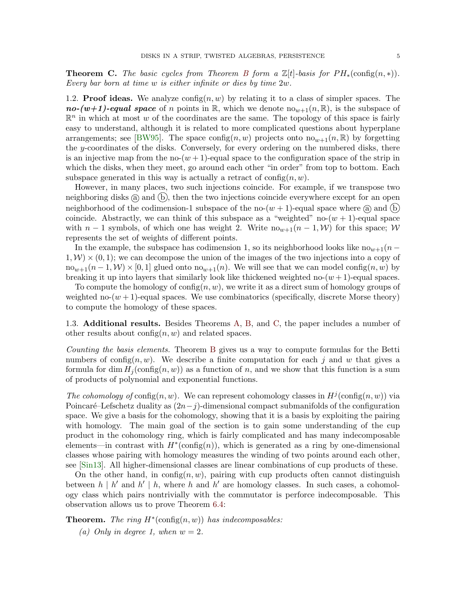<span id="page-4-0"></span>**Theorem C.** The basic cycles from Theorem [B](#page-3-0) form a  $\mathbb{Z}[t]$ -basis for  $PH_*(\text{config}(n,*))$ . Every bar born at time w is either infinite or dies by time 2w.

1.2. **Proof ideas.** We analyze  $\text{config}(n, w)$  by relating it to a class of simpler spaces. The no-(w+1)-equal space of n points in R, which we denote  $\text{no}_{w+1}(n,\mathbb{R})$ , is the subspace of  $\mathbb{R}^n$  in which at most w of the coordinates are the same. The topology of this space is fairly easy to understand, although it is related to more complicated questions about hyperplane arrangements; see [\[BW95\]](#page-40-11). The space config(n, w) projects onto  $\text{no}_{w+1}(n,\mathbb{R})$  by forgetting the y-coordinates of the disks. Conversely, for every ordering on the numbered disks, there is an injective map from the no- $(w + 1)$ -equal space to the configuration space of the strip in which the disks, when they meet, go around each other "in order" from top to bottom. Each subspace generated in this way is actually a retract of  $\text{config}(n, w)$ .

However, in many places, two such injections coincide. For example, if we transpose two neighboring disks  $(a)$  and  $(b)$ , then the two injections coincide everywhere except for an open neighborhood of the codimension-1 subspace of the no- $(w + 1)$ -equal space where  $\alpha$  and  $\beta$ coincide. Abstractly, we can think of this subspace as a "weighted" no- $(w + 1)$ -equal space with  $n-1$  symbols, of which one has weight 2. Write  $n\omega_{\nu+1}(n-1,\mathcal{W})$  for this space; W represents the set of weights of different points.

In the example, the subspace has codimension 1, so its neighborhood looks like  $no_{w+1}(n 1, \mathcal{W} \times (0, 1)$ ; we can decompose the union of the images of the two injections into a copy of  $n\omega_{w+1}(n-1,\mathcal{W})\times[0,1]$  glued onto  $n\omega_{w+1}(n)$ . We will see that we can model config $(n,w)$  by breaking it up into layers that similarly look like thickened weighted no- $(w + 1)$ -equal spaces.

To compute the homology of config $(n, w)$ , we write it as a direct sum of homology groups of weighted no- $(w + 1)$ -equal spaces. We use combinatorics (specifically, discrete Morse theory) to compute the homology of these spaces.

1.3. Additional results. Besides Theorems [A,](#page-1-1) [B,](#page-3-0) and [C,](#page-4-0) the paper includes a number of other results about  $\text{config}(n, w)$  and related spaces.

Counting the basis elements. Theorem [B](#page-3-0) gives us a way to compute formulas for the Betti numbers of config $(n, w)$ . We describe a finite computation for each j and w that gives a formula for dim  $H_i(\text{config}(n, w))$  as a function of n, and we show that this function is a sum of products of polynomial and exponential functions.

The cohomology of config $(n, w)$ . We can represent cohomology classes in  $H^j$ (config $(n, w)$ ) via Poincaré–Lefschetz duality as  $(2n-j)$ -dimensional compact submanifolds of the configuration space. We give a basis for the cohomology, showing that it is a basis by exploiting the pairing with homology. The main goal of the section is to gain some understanding of the cup product in the cohomology ring, which is fairly complicated and has many indecomposable elements—in contrast with  $H^*(\text{config}(n))$ , which is generated as a ring by one-dimensional classes whose pairing with homology measures the winding of two points around each other, see [\[Sin13\]](#page-43-0). All higher-dimensional classes are linear combinations of cup products of these.

On the other hand, in config $(n, w)$ , pairing with cup products often cannot distinguish between  $h \mid h'$  and  $h' \mid h$ , where h and h' are homology classes. In such cases, a cohomology class which pairs nontrivially with the commutator is perforce indecomposable. This observation allows us to prove Theorem [6.4:](#page-25-0)

**Theorem.** The ring  $H^*(\text{config}(n, w))$  has indecomposables:

(a) Only in degree 1, when  $w = 2$ .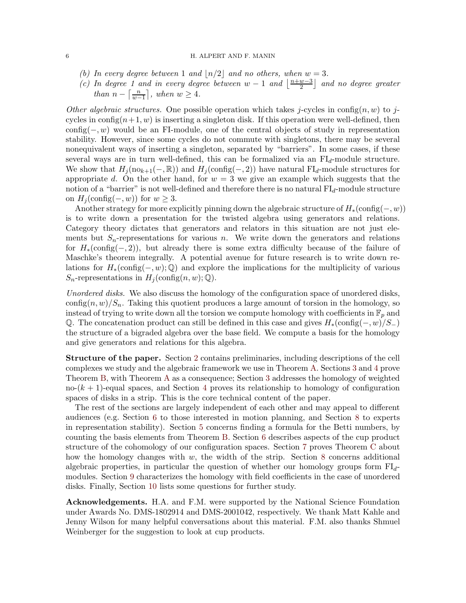### 6 H. ALPERT AND F. MANIN

- (b) In every degree between 1 and  $\lfloor n/2 \rfloor$  and no others, when  $w = 3$ .
- (c) In degree 1 and in every degree between  $w-1$  and  $\frac{n+w-3}{2}$  $\left(\frac{w-3}{2}\right)$  and no degree greater than  $n - \left\lceil \frac{n}{m} \right\rceil$  $\left\lfloor \frac{n}{w-1} \right\rfloor$ , when  $w \geq 4$ .

Other algebraic structures. One possible operation which takes j-cycles in config(n, w) to jcycles in config $(n+1, w)$  is inserting a singleton disk. If this operation were well-defined, then  $\text{config}(-, w)$  would be an FI-module, one of the central objects of study in representation stability. However, since some cycles do not commute with singletons, there may be several nonequivalent ways of inserting a singleton, separated by "barriers". In some cases, if these several ways are in turn well-defined, this can be formalized via an  $FI<sub>d</sub>$ -module structure. We show that  $H_i(\text{no}_{k+1}(-, \mathbb{R}))$  and  $H_i(\text{config}(-, 2))$  have natural  $\text{FI}_d$ -module structures for appropriate d. On the other hand, for  $w = 3$  we give an example which suggests that the notion of a "barrier" is not well-defined and therefore there is no natural  $FI<sub>d</sub>$ -module structure on  $H_i(\text{config}(-, w))$  for  $w \geq 3$ .

Another strategy for more explicitly pinning down the algebraic structure of  $H_*(\text{config}(-, w))$ is to write down a presentation for the twisted algebra using generators and relations. Category theory dictates that generators and relators in this situation are not just elements but  $S_n$ -representations for various n. We write down the generators and relations for  $H_*(\text{config}(-, 2))$ , but already there is some extra difficulty because of the failure of Maschke's theorem integrally. A potential avenue for future research is to write down relations for  $H_*(\text{config}(-, w); \mathbb{Q})$  and explore the implications for the multiplicity of various  $S_n$ -representations in  $H_i(\text{config}(n, w); \mathbb{Q})$ .

Unordered disks. We also discuss the homology of the configuration space of unordered disks, config $(n, w)/S_n$ . Taking this quotient produces a large amount of torsion in the homology, so instead of trying to write down all the torsion we compute homology with coefficients in  $\mathbb{F}_p$  and Q. The concatenation product can still be defined in this case and gives  $H_*(\text{config}(-, w)/S_+)$ the structure of a bigraded algebra over the base field. We compute a basis for the homology and give generators and relations for this algebra.

Structure of the paper. Section [2](#page-6-0) contains preliminaries, including descriptions of the cell complexes we study and the algebraic framework we use in Theorem [A.](#page-1-1) Sections [3](#page-11-0) and [4](#page-14-0) prove Theorem [B,](#page-3-0) with Theorem [A](#page-1-1) as a consequence; Section [3](#page-11-0) addresses the homology of weighted no- $(k + 1)$ -equal spaces, and Section [4](#page-14-0) proves its relationship to homology of configuration spaces of disks in a strip. This is the core technical content of the paper.

The rest of the sections are largely independent of each other and may appeal to different audiences (e.g. Section [6](#page-23-0) to those interested in motion planning, and Section [8](#page-31-0) to experts in representation stability). Section [5](#page-21-0) concerns finding a formula for the Betti numbers, by counting the basis elements from Theorem [B.](#page-3-0) Section [6](#page-23-0) describes aspects of the cup product structure of the cohomology of our configuration spaces. Section [7](#page-28-0) proves Theorem [C](#page-4-0) about how the homology changes with  $w$ , the width of the strip. Section [8](#page-31-0) concerns additional algebraic properties, in particular the question of whether our homology groups form  $FI_{d}$ modules. Section [9](#page-36-0) characterizes the homology with field coefficients in the case of unordered disks. Finally, Section [10](#page-39-0) lists some questions for further study.

Acknowledgements. H.A. and F.M. were supported by the National Science Foundation under Awards No. DMS-1802914 and DMS-2001042, respectively. We thank Matt Kahle and Jenny Wilson for many helpful conversations about this material. F.M. also thanks Shmuel Weinberger for the suggestion to look at cup products.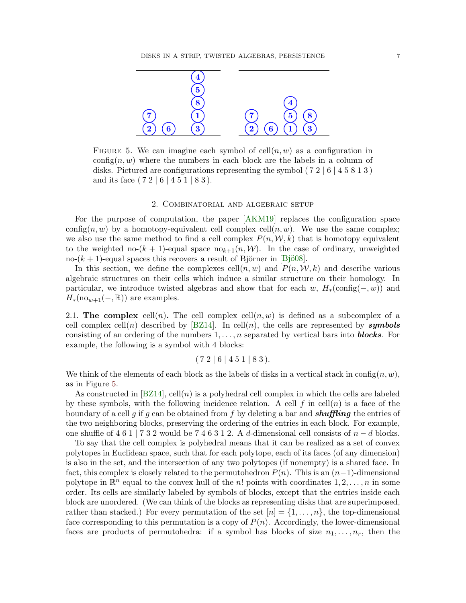<span id="page-6-1"></span>

FIGURE 5. We can imagine each symbol of  $\text{cell}(n, w)$  as a configuration in config(n, w) where the numbers in each block are the labels in a column of disks. Pictured are configurations representing the symbol  $(72 | 6 | 4 5 8 1 3)$ and its face  $(7\ 2\ 6\ 4\ 5\ 1\ 8\ 3).$ 

## 2. Combinatorial and algebraic setup

<span id="page-6-0"></span>For the purpose of computation, the paper [\[AKM19\]](#page-40-10) replaces the configuration space config(n, w) by a homotopy-equivalent cell complex cell(n, w). We use the same complex; we also use the same method to find a cell complex  $P(n, W, k)$  that is homotopy equivalent to the weighted no- $(k + 1)$ -equal space no<sub>k+1</sub> $(n, W)$ . In the case of ordinary, unweighted no- $(k + 1)$ -equal spaces this recovers a result of Björner in [Bjö08].

In this section, we define the complexes  $\text{cell}(n, w)$  and  $P(n, \mathcal{W}, k)$  and describe various algebraic structures on their cells which induce a similar structure on their homology. In particular, we introduce twisted algebras and show that for each w,  $H_*(\text{config}(-, w))$  and  $H_*(\text{no}_{w+1}(-, \mathbb{R}))$  are examples.

2.1. The complex cell(n). The cell complex cell(n, w) is defined as a subcomplex of a cell complex cell(n) described by [\[BZ14\]](#page-40-13). In cell(n), the cells are represented by **symbols** consisting of an ordering of the numbers  $1, \ldots, n$  separated by vertical bars into **blocks**. For example, the following is a symbol with 4 blocks:

$$
(7\ 2\ | \ 6\ | \ 4\ 5\ 1\ | \ 8\ 3\,).
$$

We think of the elements of each block as the labels of disks in a vertical stack in config $(n, w)$ , as in Figure [5.](#page-6-1)

As constructed in  $[BZ14]$ , cell $(n)$  is a polyhedral cell complex in which the cells are labeled by these symbols, with the following incidence relation. A cell f in cell(n) is a face of the boundary of a cell g if g can be obtained from f by deleting a bar and **shuffling** the entries of the two neighboring blocks, preserving the ordering of the entries in each block. For example, one shuffle of 4 6 1 | 7 3 2 would be 7 4 6 3 1 2. A d-dimensional cell consists of  $n - d$  blocks.

To say that the cell complex is polyhedral means that it can be realized as a set of convex polytopes in Euclidean space, such that for each polytope, each of its faces (of any dimension) is also in the set, and the intersection of any two polytopes (if nonempty) is a shared face. In fact, this complex is closely related to the permutohedron  $P(n)$ . This is an  $(n-1)$ -dimensional polytope in  $\mathbb{R}^n$  equal to the convex hull of the n! points with coordinates  $1, 2, \ldots, n$  in some order. Its cells are similarly labeled by symbols of blocks, except that the entries inside each block are unordered. (We can think of the blocks as representing disks that are superimposed, rather than stacked.) For every permutation of the set  $[n] = \{1, \ldots, n\}$ , the top-dimensional face corresponding to this permutation is a copy of  $P(n)$ . Accordingly, the lower-dimensional faces are products of permutohedra: if a symbol has blocks of size  $n_1, \ldots, n_r$ , then the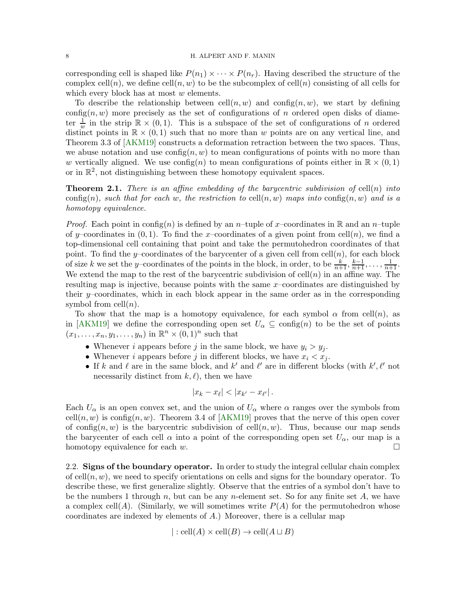corresponding cell is shaped like  $P(n_1) \times \cdots \times P(n_r)$ . Having described the structure of the complex cell(n), we define cell(n, w) to be the subcomplex of cell(n) consisting of all cells for which every block has at most w elements.

To describe the relationship between  $\text{cell}(n, w)$  and  $\text{config}(n, w)$ , we start by defining config $(n, w)$  more precisely as the set of configurations of n ordered open disks of diameter  $\frac{1}{w}$  in the strip  $\mathbb{R} \times (0,1)$ . This is a subspace of the set of configurations of *n* ordered distinct points in  $\mathbb{R} \times (0,1)$  such that no more than w points are on any vertical line, and Theorem 3.3 of [\[AKM19\]](#page-40-10) constructs a deformation retraction between the two spaces. Thus, we abuse notation and use  $\text{config}(n, w)$  to mean configurations of points with no more than w vertically aligned. We use  $\text{config}(n)$  to mean configurations of points either in  $\mathbb{R} \times (0,1)$ or in  $\mathbb{R}^2$ , not distinguishing between these homotopy equivalent spaces.

<span id="page-7-1"></span>**Theorem 2.1.** There is an affine embedding of the barycentric subdivision of cell(n) into config(n), such that for each w, the restriction to cell(n, w) maps into config(n, w) and is a homotopy equivalence.

*Proof.* Each point in config(n) is defined by an n–tuple of x–coordinates in R and an n–tuple of y–coordinates in  $(0, 1)$ . To find the x–coordinates of a given point from cell $(n)$ , we find a top-dimensional cell containing that point and take the permutohedron coordinates of that point. To find the y–coordinates of the barycenter of a given cell from cell $(n)$ , for each block of size k we set the y–coordinates of the points in the block, in order, to be  $\frac{k}{n+1}, \frac{k-1}{n+1}, \ldots, \frac{1}{n+1}$ . We extend the map to the rest of the barycentric subdivision of  $\text{cell}(n)$  in an affine way. The resulting map is injective, because points with the same  $x$ –coordinates are distinguished by their  $y$ –coordinates, which in each block appear in the same order as in the corresponding symbol from  $\operatorname{cell}(n)$ .

To show that the map is a homotopy equivalence, for each symbol  $\alpha$  from cell $(n)$ , as in [\[AKM19\]](#page-40-10) we define the corresponding open set  $U_{\alpha} \subseteq \text{config}(n)$  to be the set of points  $(x_1, \ldots, x_n, y_1, \ldots, y_n)$  in  $\mathbb{R}^n \times (0,1)^n$  such that

- Whenever i appears before j in the same block, we have  $y_i > y_j$ .
- Whenever i appears before j in different blocks, we have  $x_i < x_j$ .
- If k and l are in the same block, and k' and  $\ell'$  are in different blocks (with  $k', \ell'$  not necessarily distinct from  $k, \ell$ , then we have

$$
|x_k - x_\ell| < |x_{k'} - x_{\ell'}|.
$$

Each  $U_{\alpha}$  is an open convex set, and the union of  $U_{\alpha}$  where  $\alpha$  ranges over the symbols from cell $(n, w)$  is config $(n, w)$ . Theorem 3.4 of [\[AKM19\]](#page-40-10) proves that the nerve of this open cover of config $(n, w)$  is the barycentric subdivision of cell $(n, w)$ . Thus, because our map sends the barycenter of each cell  $\alpha$  into a point of the corresponding open set  $U_{\alpha}$ , our map is a homotopy equivalence for each  $w$ .

<span id="page-7-0"></span>2.2. Signs of the boundary operator. In order to study the integral cellular chain complex of cell $(n, w)$ , we need to specify orientations on cells and signs for the boundary operator. To describe these, we first generalize slightly. Observe that the entries of a symbol don't have to be the numbers 1 through n, but can be any n-element set. So for any finite set  $A$ , we have a complex cell(A). (Similarly, we will sometimes write  $P(A)$  for the permutohedron whose coordinates are indexed by elements of  $A$ .) Moreover, there is a cellular map

$$
]:
$$
cell( $A$ )  $\times$  cell( $B$ )  $\rightarrow$  cell( $A \sqcup B$ )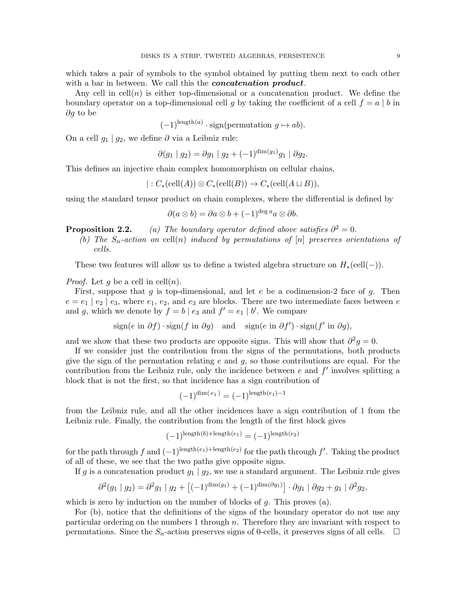which takes a pair of symbols to the symbol obtained by putting them next to each other with a bar in between. We call this the *concatenation product*.

Any cell in  $\text{cell}(n)$  is either top-dimensional or a concatenation product. We define the boundary operator on a top-dimensional cell g by taking the coefficient of a cell  $f = a \mid b$  in ∂g to be

$$
(-1)^{\text{length}(a)} \cdot \text{sign}(\text{permutation } g \mapsto ab).
$$

On a cell  $g_1 | g_2$ , we define ∂ via a Leibniz rule:

$$
\partial(g_1 \mid g_2) = \partial g_1 \mid g_2 + (-1)^{\dim(g_1)} g_1 \mid \partial g_2.
$$

This defines an injective chain complex homomorphism on cellular chains,

$$
|: C_* (cell(A)) \otimes C_* (cell(B)) \to C_* (cell(A \sqcup B)),
$$

using the standard tensor product on chain complexes, where the differential is defined by

$$
\partial(a\otimes b) = \partial a\otimes b + (-1)^{\deg a} a\otimes \partial b.
$$

**Proposition 2.2.** (a) The boundary operator defined above satisfies  $\partial^2 = 0$ .

(b) The  $S_n$ -action on cell(n) induced by permutations of [n] preserves orientations of cells.

These two features will allow us to define a twisted algebra structure on  $H_*(\text{cell}(-))$ .

*Proof.* Let q be a cell in cell $(n)$ .

First, suppose that  $g$  is top-dimensional, and let  $e$  be a codimension-2 face of  $g$ . Then  $e = e_1 \mid e_2 \mid e_3$ , where  $e_1, e_2$ , and  $e_3$  are blocks. There are two intermediate faces between e and g, which we denote by  $f = b \mid e_3$  and  $f' = e_1 \mid b'$ . We compare

sign
$$
(e \text{ in } \partial f) \cdot \text{sign}(f \text{ in } \partial g)
$$
 and sign $(e \text{ in } \partial f') \cdot \text{sign}(f' \text{ in } \partial g)$ ,

and we show that these two products are opposite signs. This will show that  $\partial^2 g = 0$ .

If we consider just the contribution from the signs of the permutations, both products give the sign of the permutation relating  $e$  and  $q$ , so those contributions are equal. For the contribution from the Leibniz rule, only the incidence between  $e$  and  $f'$  involves splitting a block that is not the first, so that incidence has a sign contribution of

$$
(-1)^{\dim(e_1)} = (-1)^{\operatorname{length}(e_1) - 1}
$$

from the Leibniz rule, and all the other incidences have a sign contribution of 1 from the Leibniz rule. Finally, the contribution from the length of the first block gives

$$
(-1)^{\operatorname{length}(b) + \operatorname{length}(e_1)} = (-1)^{\operatorname{length}(e_2)}
$$

for the path through f and  $(-1)^{\text{length}(e_1)+\text{length}(e_2)}$  for the path through f'. Taking the product of all of these, we see that the two paths give opposite signs.

If g is a concatenation product  $g_1 | g_2$ , we use a standard argument. The Leibniz rule gives

$$
\partial^2(g_1 \mid g_2) = \partial^2 g_1 \mid g_2 + \left[(-1)^{\dim(g_1)} + (-1)^{\dim(\partial g_1)}\right] \cdot \partial g_1 \mid \partial g_2 + g_1 \mid \partial^2 g_2,
$$

which is zero by induction on the number of blocks of  $g$ . This proves (a).

For (b), notice that the definitions of the signs of the boundary operator do not use any particular ordering on the numbers 1 through n. Therefore they are invariant with respect to permutations. Since the  $S_n$ -action preserves signs of 0-cells, it preserves signs of all cells.  $\Box$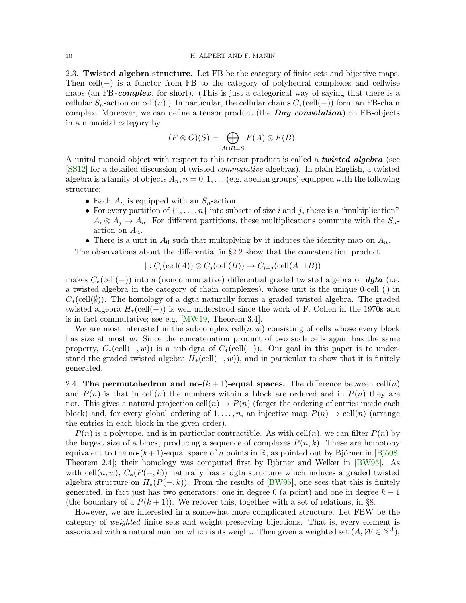<span id="page-9-0"></span>2.3. Twisted algebra structure. Let FB be the category of finite sets and bijective maps. Then cell(−) is a functor from FB to the category of polyhedral complexes and cellwise maps (an FB-complex, for short). (This is just a categorical way of saying that there is a cellular  $S_n$ -action on cell $(n)$ .) In particular, the cellular chains  $C_*(\text{cell}(-))$  form an FB-chain complex. Moreover, we can define a tensor product (the **Day convolution**) on FB-objects in a monoidal category by

$$
(F \otimes G)(S) = \bigoplus_{A \sqcup B = S} F(A) \otimes F(B).
$$

A unital monoid object with respect to this tensor product is called a **twisted algebra** (see [\[SS12\]](#page-43-1) for a detailed discussion of twisted commutative algebras). In plain English, a twisted algebra is a family of objects  $A_n$ ,  $n = 0, 1, \ldots$  (e.g. abelian groups) equipped with the following structure:

- Each  $A_n$  is equipped with an  $S_n$ -action.
- For every partition of  $\{1, \ldots, n\}$  into subsets of size i and j, there is a "multiplication"  $A_i \otimes A_j \to A_n$ . For different partitions, these multiplications commute with the  $S_n$ action on  $A_n$ .
- There is a unit in  $A_0$  such that multiplying by it induces the identity map on  $A_n$ .

The observations about the differential in §[2.2](#page-7-0) show that the concatenation product

$$
|: C_i(\text{cell}(A)) \otimes C_j(\text{cell}(B)) \to C_{i+j}(\text{cell}(A \sqcup B))
$$

makes  $C_*(\text{cell}(-))$  into a (noncommutative) differential graded twisted algebra or **dgta** (i.e. a twisted algebra in the category of chain complexes), whose unit is the unique 0-cell ( ) in  $C_*(\text{cell}(\emptyset))$ . The homology of a dgta naturally forms a graded twisted algebra. The graded twisted algebra  $H_*(\text{cell}(-))$  is well-understood since the work of F. Cohen in the 1970s and is in fact commutative; see e.g. [\[MW19,](#page-43-2) Theorem 3.4].

We are most interested in the subcomplex  $\text{cell}(n, w)$  consisting of cells whose every block has size at most  $w$ . Since the concatenation product of two such cells again has the same property,  $C_*(\text{cell}(-, w))$  is a sub-dgta of  $C_*(\text{cell}(-))$ . Our goal in this paper is to understand the graded twisted algebra  $H_*(\text{cell}(-, w))$ , and in particular to show that it is finitely generated.

2.4. The permutohedron and no- $(k + 1)$ -equal spaces. The difference between cell $(n)$ and  $P(n)$  is that in cell(n) the numbers within a block are ordered and in  $P(n)$  they are not. This gives a natural projection cell $(n) \to P(n)$  (forget the ordering of entries inside each block) and, for every global ordering of  $1, \ldots, n$ , an injective map  $P(n) \to \text{cell}(n)$  (arrange the entries in each block in the given order).

 $P(n)$  is a polytope, and is in particular contractible. As with cell $(n)$ , we can filter  $P(n)$  by the largest size of a block, producing a sequence of complexes  $P(n, k)$ . These are homotopy equivalent to the no- $(k+1)$ -equal space of n points in R, as pointed out by Björner in [Bjö08, Theorem 2.4]; their homology was computed first by Björner and Welker in  $[BW95]$ . As with cell $(n, w)$ ,  $C_*(P(-, k))$  naturally has a dgta structure which induces a graded twisted algebra structure on  $H_*(P(-, k))$ . From the results of [\[BW95\]](#page-40-11), one sees that this is finitely generated, in fact just has two generators: one in degree 0 (a point) and one in degree  $k-1$ (the boundary of a  $P(k + 1)$ ). We recover this, together with a set of relations, in §[8.](#page-31-0)

However, we are interested in a somewhat more complicated structure. Let FBW be the category of weighted finite sets and weight-preserving bijections. That is, every element is associated with a natural number which is its weight. Then given a weighted set  $(A, \mathcal{W} \in \mathbb{N}^A)$ ,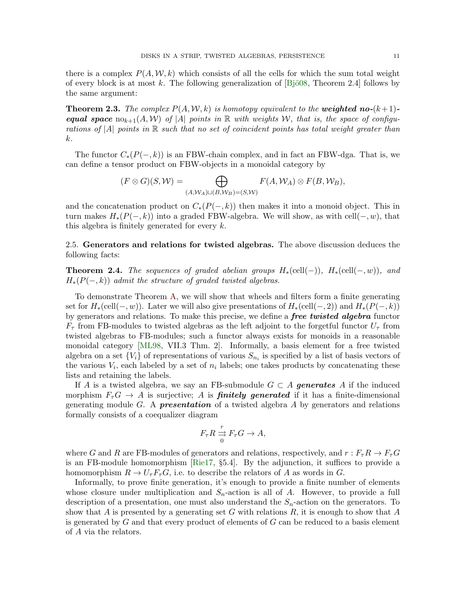there is a complex  $P(A, W, k)$  which consists of all the cells for which the sum total weight of every block is at most k. The following generalization of  $[Bj\ddot{o}08,$  Theorem 2.4] follows by the same argument:

**Theorem 2.3.** The complex  $P(A, W, k)$  is homotopy equivalent to the **weighted no-** $(k+1)$ **equal space**  $\text{no}_{k+1}(A, W)$  of |A| points in R with weights W, that is, the space of configurations of  $|A|$  points in  $\mathbb R$  such that no set of coincident points has total weight greater than k.

The functor  $C_*(P(-, k))$  is an FBW-chain complex, and in fact an FBW-dga. That is, we can define a tensor product on FBW-objects in a monoidal category by

$$
(F \otimes G)(S, W) = \bigoplus_{(A, W_A) \sqcup (B, W_B) = (S, W)} F(A, W_A) \otimes F(B, W_B),
$$

and the concatenation product on  $C_*(P(-, k))$  then makes it into a monoid object. This in turn makes  $H_*(P(-,k))$  into a graded FBW-algebra. We will show, as with cell $(-, w)$ , that this algebra is finitely generated for every  $k$ .

2.5. Generators and relations for twisted algebras. The above discussion deduces the following facts:

**Theorem 2.4.** The sequences of graded abelian groups  $H_*(\text{cell}(-))$ ,  $H_*(\text{cell}(-, w))$ , and  $H_*(P(-,k))$  admit the structure of graded twisted algebras.

To demonstrate Theorem [A,](#page-1-1) we will show that wheels and filters form a finite generating set for  $H_*(\text{cell}(-, w))$ . Later we will also give presentations of  $H_*(\text{cell}(-, 2))$  and  $H_*(P(-, k))$ by generators and relations. To make this precise, we define a *free twisted algebra* functor  $F_{\tau}$  from FB-modules to twisted algebras as the left adjoint to the forgetful functor  $U_{\tau}$  from twisted algebras to FB-modules; such a functor always exists for monoids in a reasonable monoidal category [\[ML98,](#page-41-1) VII.3 Thm. 2]. Informally, a basis element for a free twisted algebra on a set  $\{V_i\}$  of representations of various  $S_{n_i}$  is specified by a list of basis vectors of the various  $V_i$ , each labeled by a set of  $n_i$  labels; one takes products by concatenating these lists and retaining the labels.

If A is a twisted algebra, we say an FB-submodule  $G \subset A$  generates A if the induced morphism  $F_{\tau}G \to A$  is surjective; A is **finitely generated** if it has a finite-dimensional generating module G. A **presentation** of a twisted algebra  $A$  by generators and relations formally consists of a coequalizer diagram

$$
F_{\tau}R \stackrel{r}{\rightrightarrows} F_{\tau}G \to A,
$$

where G and R are FB-modules of generators and relations, respectively, and  $r : F_{\tau}R \to F_{\tau}G$ is an FB-module homomorphism [\[Rie17,](#page-43-3) §5.4]. By the adjunction, it suffices to provide a homomorphism  $R \to U_{\tau} F_{\tau} G$ , i.e. to describe the relators of A as words in G.

Informally, to prove finite generation, it's enough to provide a finite number of elements whose closure under multiplication and  $S_n$ -action is all of A. However, to provide a full description of a presentation, one must also understand the  $S_n$ -action on the generators. To show that A is presented by a generating set G with relations  $R$ , it is enough to show that A is generated by  $G$  and that every product of elements of  $G$  can be reduced to a basis element of A via the relators.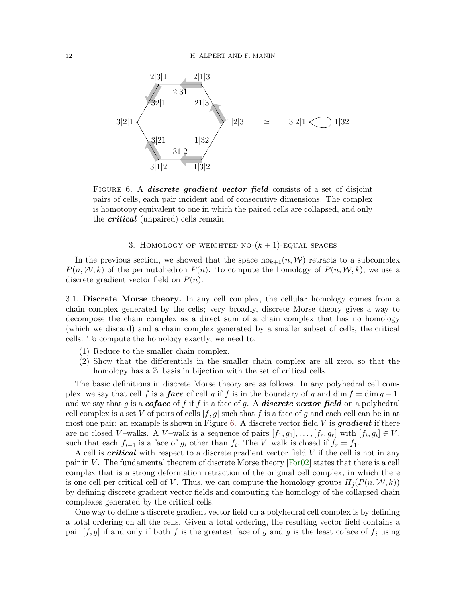<span id="page-11-1"></span>

FIGURE 6. A *discrete gradient vector field* consists of a set of disjoint pairs of cells, each pair incident and of consecutive dimensions. The complex is homotopy equivalent to one in which the paired cells are collapsed, and only the *critical* (unpaired) cells remain.

## 3. HOMOLOGY OF WEIGHTED NO- $(k + 1)$ -EQUAL SPACES

<span id="page-11-0"></span>In the previous section, we showed that the space  $n\omega_{k+1}(n,\mathcal{W})$  retracts to a subcomplex  $P(n, \mathcal{W}, k)$  of the permutohedron  $P(n)$ . To compute the homology of  $P(n, \mathcal{W}, k)$ , we use a discrete gradient vector field on  $P(n)$ .

3.1. Discrete Morse theory. In any cell complex, the cellular homology comes from a chain complex generated by the cells; very broadly, discrete Morse theory gives a way to decompose the chain complex as a direct sum of a chain complex that has no homology (which we discard) and a chain complex generated by a smaller subset of cells, the critical cells. To compute the homology exactly, we need to:

- (1) Reduce to the smaller chain complex.
- (2) Show that the differentials in the smaller chain complex are all zero, so that the homology has a  $\mathbb{Z}$ -basis in bijection with the set of critical cells.

The basic definitions in discrete Morse theory are as follows. In any polyhedral cell complex, we say that cell f is a **face** of cell g if f is in the boundary of g and dim  $f = \dim g - 1$ , and we say that g is a *coface* of f if f is a face of g. A *discrete vector field* on a polyhedral cell complex is a set V of pairs of cells  $[f, g]$  such that f is a face of g and each cell can be in at most one pair; an example is shown in Figure [6.](#page-11-1) A discrete vector field  $V$  is **gradient** if there are no closed V-walks. A V-walk is a sequence of pairs  $[f_1, g_1], \ldots, [f_r, g_r]$  with  $[f_i, g_i] \in V$ , such that each  $f_{i+1}$  is a face of  $g_i$  other than  $f_i$ . The V-walk is closed if  $f_r = f_1$ .

A cell is critical with respect to a discrete gradient vector field V if the cell is not in any pair in V. The fundamental theorem of discrete Morse theory  $[For 02]$  states that there is a cell complex that is a strong deformation retraction of the original cell complex, in which there is one cell per critical cell of V. Thus, we can compute the homology groups  $H_i(P(n, \mathcal{W}, k))$ by defining discrete gradient vector fields and computing the homology of the collapsed chain complexes generated by the critical cells.

One way to define a discrete gradient vector field on a polyhedral cell complex is by defining a total ordering on all the cells. Given a total ordering, the resulting vector field contains a pair  $[f, g]$  if and only if both f is the greatest face of g and g is the least coface of f; using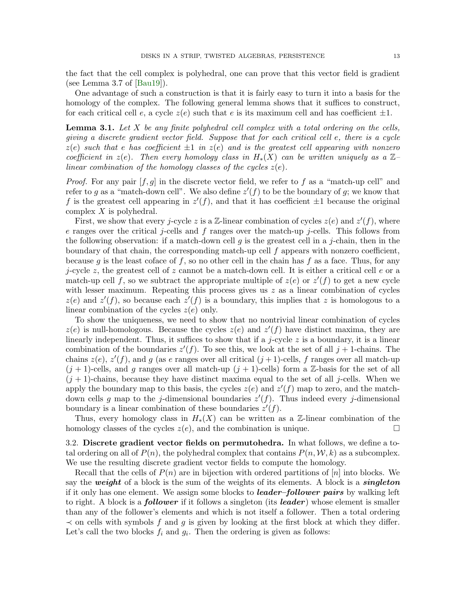the fact that the cell complex is polyhedral, one can prove that this vector field is gradient (see Lemma 3.7 of  $[Bau19]$ ).

One advantage of such a construction is that it is fairly easy to turn it into a basis for the homology of the complex. The following general lemma shows that it suffices to construct, for each critical cell e, a cycle  $z(e)$  such that e is its maximum cell and has coefficient  $\pm 1$ .

<span id="page-12-0"></span>**Lemma 3.1.** Let  $X$  be any finite polyhedral cell complex with a total ordering on the cells, giving a discrete gradient vector field. Suppose that for each critical cell e, there is a cycle  $z(e)$  such that e has coefficient  $\pm 1$  in  $z(e)$  and is the greatest cell appearing with nonzero coefficient in  $z(e)$ . Then every homology class in  $H_*(X)$  can be written uniquely as a  $\mathbb{Z}$ linear combination of the homology classes of the cycles  $z(e)$ .

*Proof.* For any pair  $[f, g]$  in the discrete vector field, we refer to f as a "match-up cell" and refer to g as a "match-down cell". We also define  $z'(f)$  to be the boundary of g; we know that f is the greatest cell appearing in  $z'(f)$ , and that it has coefficient  $\pm 1$  because the original complex X is polyhedral.

First, we show that every j-cycle z is a Z-linear combination of cycles  $z(e)$  and  $z'(f)$ , where e ranges over the critical j-cells and f ranges over the match-up j-cells. This follows from the following observation: if a match-down cell q is the greatest cell in a j-chain, then in the boundary of that chain, the corresponding match-up cell  $f$  appears with nonzero coefficient, because g is the least coface of f, so no other cell in the chain has f as a face. Thus, for any j-cycle z, the greatest cell of z cannot be a match-down cell. It is either a critical cell  $e$  or a match-up cell f, so we subtract the appropriate multiple of  $z(e)$  or  $z'(f)$  to get a new cycle with lesser maximum. Repeating this process gives us  $z$  as a linear combination of cycles  $z(e)$  and  $z'(f)$ , so because each  $z'(f)$  is a boundary, this implies that z is homologous to a linear combination of the cycles  $z(e)$  only.

To show the uniqueness, we need to show that no nontrivial linear combination of cycles  $z(e)$  is null-homologous. Because the cycles  $z(e)$  and  $z'(f)$  have distinct maxima, they are linearly independent. Thus, it suffices to show that if a j-cycle  $z$  is a boundary, it is a linear combination of the boundaries  $z'(f)$ . To see this, we look at the set of all  $j+1$ -chains. The chains  $z(e)$ ,  $z'(f)$ , and g (as e ranges over all critical  $(j+1)$ -cells, f ranges over all match-up  $(j+1)$ -cells, and g ranges over all match-up  $(j+1)$ -cells) form a Z-basis for the set of all  $(j + 1)$ -chains, because they have distinct maxima equal to the set of all j-cells. When we apply the boundary map to this basis, the cycles  $z(e)$  and  $z'(f)$  map to zero, and the matchdown cells g map to the j-dimensional boundaries  $z'(f)$ . Thus indeed every j-dimensional boundary is a linear combination of these boundaries  $z'(f)$ .

Thus, every homology class in  $H_*(X)$  can be written as a Z-linear combination of the homology classes of the cycles  $z(e)$ , and the combination is unique.

3.2. Discrete gradient vector fields on permutohedra. In what follows, we define a total ordering on all of  $P(n)$ , the polyhedral complex that contains  $P(n, \mathcal{W}, k)$  as a subcomplex. We use the resulting discrete gradient vector fields to compute the homology.

Recall that the cells of  $P(n)$  are in bijection with ordered partitions of [n] into blocks. We say the weight of a block is the sum of the weights of its elements. A block is a *singleton* if it only has one element. We assign some blocks to *leader–follower pairs* by walking left to right. A block is a **follower** if it follows a singleton (its **leader**) whose element is smaller than any of the follower's elements and which is not itself a follower. Then a total ordering  $\prec$  on cells with symbols f and g is given by looking at the first block at which they differ. Let's call the two blocks  $f_i$  and  $g_i$ . Then the ordering is given as follows: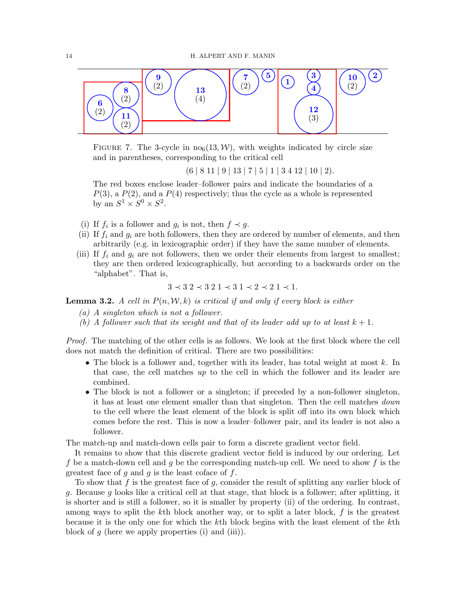<span id="page-13-0"></span>

FIGURE 7. The 3-cycle in  $\text{no}_6(13,\mathcal{W})$ , with weights indicated by circle size and in parentheses, corresponding to the critical cell

 $(6 | 8 11 | 9 | 13 | 7 | 5 | 1 | 3 4 12 | 10 | 2).$ 

The red boxes enclose leader–follower pairs and indicate the boundaries of a  $P(3)$ , a  $P(2)$ , and a  $P(4)$  respectively; thus the cycle as a whole is represented by an  $S^1 \times S^0 \times S^2$ .

- (i) If  $f_i$  is a follower and  $g_i$  is not, then  $f \prec g$ .
- (ii) If  $f_i$  and  $g_i$  are both followers, then they are ordered by number of elements, and then arbitrarily (e.g. in lexicographic order) if they have the same number of elements.
- (iii) If  $f_i$  and  $g_i$  are not followers, then we order their elements from largest to smallest; they are then ordered lexicographically, but according to a backwards order on the "alphabet". That is,

$$
3 \prec 3 \; 2 \prec 3 \; 2 \; 1 \prec 3 \; 1 \prec 2 \prec 2 \; 1 \prec 1.
$$

<span id="page-13-1"></span>**Lemma 3.2.** A cell in  $P(n, \mathcal{W}, k)$  is critical if and only if every block is either

- (a) A singleton which is not a follower.
- (b) A follower such that its weight and that of its leader add up to at least  $k + 1$ .

Proof. The matching of the other cells is as follows. We look at the first block where the cell does not match the definition of critical. There are two possibilities:

- The block is a follower and, together with its leader, has total weight at most  $k$ . In that case, the cell matches up to the cell in which the follower and its leader are combined.
- The block is not a follower or a singleton; if preceded by a non-follower singleton, it has at least one element smaller than that singleton. Then the cell matches down to the cell where the least element of the block is split off into its own block which comes before the rest. This is now a leader–follower pair, and its leader is not also a follower.

The match-up and match-down cells pair to form a discrete gradient vector field.

It remains to show that this discrete gradient vector field is induced by our ordering. Let f be a match-down cell and g be the corresponding match-up cell. We need to show f is the greatest face of  $g$  and  $g$  is the least coface of  $f$ .

To show that  $f$  is the greatest face of  $g$ , consider the result of splitting any earlier block of g. Because g looks like a critical cell at that stage, that block is a follower; after splitting, it is shorter and is still a follower, so it is smaller by property (ii) of the ordering. In contrast, among ways to split the  $k$ th block another way, or to split a later block,  $f$  is the greatest because it is the only one for which the kth block begins with the least element of the kth block of  $g$  (here we apply properties (i) and (iii)).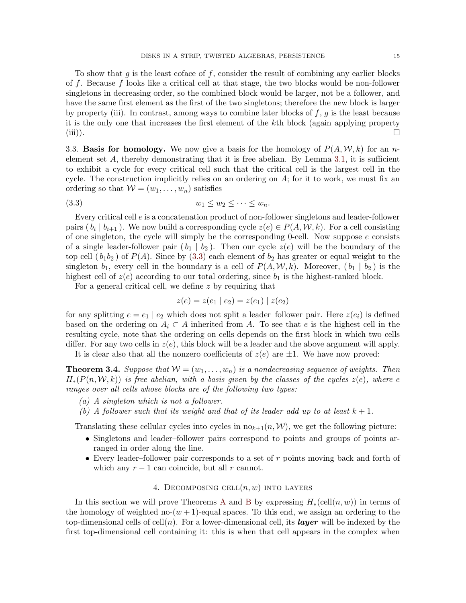To show that  $q$  is the least coface of  $f$ , consider the result of combining any earlier blocks of f. Because f looks like a critical cell at that stage, the two blocks would be non-follower singletons in decreasing order, so the combined block would be larger, not be a follower, and have the same first element as the first of the two singletons; therefore the new block is larger by property (iii). In contrast, among ways to combine later blocks of  $f, g$  is the least because it is the only one that increases the first element of the kth block (again applying property (iii)).  $\Box$ 

3.3. **Basis for homology.** We now give a basis for the homology of  $P(A, W, k)$  for an nelement set  $A$ , thereby demonstrating that it is free abelian. By Lemma [3.1,](#page-12-0) it is sufficient to exhibit a cycle for every critical cell such that the critical cell is the largest cell in the cycle. The construction implicitly relies on an ordering on  $A$ ; for it to work, we must fix an ordering so that  $W = (w_1, \ldots, w_n)$  satisfies

$$
(3.3) \t\t\t w_1 \leq w_2 \leq \cdots \leq w_n.
$$

Every critical cell e is a concatenation product of non-follower singletons and leader-follower pairs  $(b_i | b_{i+1})$ . We now build a corresponding cycle  $z(e) \in P(A, W, k)$ . For a cell consisting of one singleton, the cycle will simply be the corresponding 0-cell. Now suppose  $e$  consists of a single leader-follower pair  $(b_1 | b_2)$ . Then our cycle  $z(e)$  will be the boundary of the top cell  $(b_1b_2)$  of  $P(A)$ . Since by [\(3.3\)](#page-14-1) each element of  $b_2$  has greater or equal weight to the singleton  $b_1$ , every cell in the boundary is a cell of  $P(A, W, k)$ . Moreover,  $(b_1 | b_2)$  is the highest cell of  $z(e)$  according to our total ordering, since  $b_1$  is the highest-ranked block.

For a general critical cell, we define z by requiring that

ranges over all cells whose blocks are of the following two types:

<span id="page-14-1"></span>
$$
z(e) = z(e_1 \mid e_2) = z(e_1) \mid z(e_2)
$$

for any splitting  $e = e_1 \mid e_2$  which does not split a leader-follower pair. Here  $z(e_i)$  is defined based on the ordering on  $A_i \subset A$  inherited from A. To see that e is the highest cell in the resulting cycle, note that the ordering on cells depends on the first block in which two cells differ. For any two cells in  $z(e)$ , this block will be a leader and the above argument will apply. It is clear also that all the nonzero coefficients of  $z(e)$  are  $\pm 1$ . We have now proved:

<span id="page-14-2"></span>**Theorem 3.4.** Suppose that  $W = (w_1, \ldots, w_n)$  is a nondecreasing sequence of weights. Then  $H_*(P(n, \mathcal{W}, k))$  is free abelian, with a basis given by the classes of the cycles  $z(e)$ , where e

- (a) A singleton which is not a follower.
- (b) A follower such that its weight and that of its leader add up to at least  $k + 1$ .

Translating these cellular cycles into cycles in  $n\omega_{k+1}(n, W)$ , we get the following picture:

- Singletons and leader–follower pairs correspond to points and groups of points arranged in order along the line.
- Every leader–follower pair corresponds to a set of  $r$  points moving back and forth of which any  $r - 1$  can coincide, but all r cannot.

# 4. DECOMPOSING CELL $(n, w)$  INTO LAYERS

<span id="page-14-0"></span>In this section we will prove Theorems [A](#page-1-1) and [B](#page-3-0) by expressing  $H_*(\text{cell}(n, w))$  in terms of the homology of weighted no- $(w + 1)$ -equal spaces. To this end, we assign an ordering to the top-dimensional cells of cell(n). For a lower-dimensional cell, its **layer** will be indexed by the first top-dimensional cell containing it: this is when that cell appears in the complex when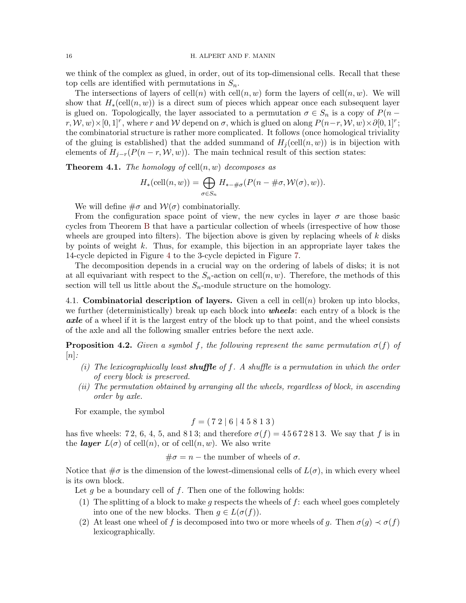we think of the complex as glued, in order, out of its top-dimensional cells. Recall that these top cells are identified with permutations in  $S_n$ .

The intersections of layers of cell(n) with cell(n, w) form the layers of cell(n, w). We will show that  $H_*(\text{cell}(n, w))$  is a direct sum of pieces which appear once each subsequent layer is glued on. Topologically, the layer associated to a permutation  $\sigma \in S_n$  is a copy of  $P(n$  $r, \mathcal{W}, w) \times [0, 1]^r$ , where r and W depend on  $\sigma$ , which is glued on along  $P(n-r, \mathcal{W}, w) \times \partial [0, 1]^r$ ; the combinatorial structure is rather more complicated. It follows (once homological triviality of the gluing is established) that the added summand of  $H_i(\text{cell}(n, w))$  is in bijection with elements of  $H_{i-r}(P(n-r,\mathcal{W},w))$ . The main technical result of this section states:

<span id="page-15-0"></span>**Theorem 4.1.** The homology of  $\text{cell}(n, w)$  decomposes as

$$
H_*\left(\text{cell}(n, w)\right) = \bigoplus_{\sigma \in S_n} H_{*-\#\sigma}(P(n - \#\sigma, \mathcal{W}(\sigma), w)).
$$

We will define  $\#\sigma$  and  $\mathcal{W}(\sigma)$  combinatorially.

From the configuration space point of view, the new cycles in layer  $\sigma$  are those basic cycles from Theorem [B](#page-3-0) that have a particular collection of wheels (irrespective of how those wheels are grouped into filters). The bijection above is given by replacing wheels of  $k$  disks by points of weight  $k$ . Thus, for example, this bijection in an appropriate layer takes the 14-cycle depicted in Figure [4](#page-3-2) to the 3-cycle depicted in Figure [7.](#page-13-0)

The decomposition depends in a crucial way on the ordering of labels of disks; it is not at all equivariant with respect to the  $S_n$ -action on cell $(n, w)$ . Therefore, the methods of this section will tell us little about the  $S_n$ -module structure on the homology.

4.1. Combinatorial description of layers. Given a cell in cell $(n)$  broken up into blocks, we further (deterministically) break up each block into **wheels**: each entry of a block is the axle of a wheel if it is the largest entry of the block up to that point, and the wheel consists of the axle and all the following smaller entries before the next axle.

**Proposition 4.2.** Given a symbol f, the following represent the same permutation  $\sigma(f)$  of  $[n]$ :

- (i) The lexicographically least **shuffle** of f. A shuffle is a permutation in which the order of every block is preserved.
- (ii) The permutation obtained by arranging all the wheels, regardless of block, in ascending order by axle.

For example, the symbol

$$
f = (7\ 2\ 1\ 6\ 1\ 4\ 5\ 8\ 1\ 3)
$$

has five wheels: 72, 6, 4, 5, and 813; and therefore  $\sigma(f) = 45672813$ . We say that f is in the *layer*  $L(\sigma)$  of cell $(n)$ , or of cell $(n, w)$ . We also write

 $\#\sigma = n$  – the number of wheels of  $\sigma$ .

Notice that  $\#\sigma$  is the dimension of the lowest-dimensional cells of  $L(\sigma)$ , in which every wheel is its own block.

Let  $g$  be a boundary cell of  $f$ . Then one of the following holds:

- (1) The splitting of a block to make g respects the wheels of  $f$ : each wheel goes completely into one of the new blocks. Then  $q \in L(\sigma(f))$ .
- (2) At least one wheel of f is decomposed into two or more wheels of g. Then  $\sigma(g) \prec \sigma(f)$ lexicographically.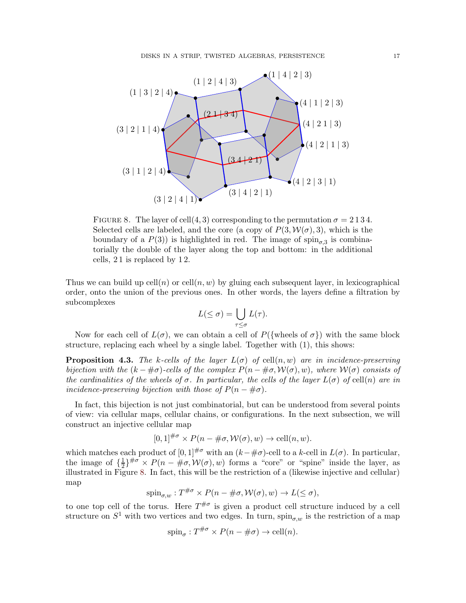<span id="page-16-0"></span>

FIGURE 8. The layer of cell $(4,3)$  corresponding to the permutation  $\sigma = 2134$ . Selected cells are labeled, and the core (a copy of  $P(3, W(\sigma), 3)$ , which is the boundary of a  $P(3)$  is highlighted in red. The image of  $\text{spin}_{\sigma,3}$  is combinatorially the double of the layer along the top and bottom: in the additional cells, 2 1 is replaced by 1 2.

Thus we can build up  $\text{cell}(n)$  or  $\text{cell}(n, w)$  by gluing each subsequent layer, in lexicographical order, onto the union of the previous ones. In other words, the layers define a filtration by subcomplexes

$$
L(\leq \sigma) = \bigcup_{\tau \leq \sigma} L(\tau).
$$

Now for each cell of  $L(\sigma)$ , we can obtain a cell of  $P({\text{wheels of }\sigma})$  with the same block structure, replacing each wheel by a single label. Together with (1), this shows:

**Proposition 4.3.** The k-cells of the layer  $L(\sigma)$  of cell $(n, w)$  are in incidence-preserving bijection with the  $(k - \# \sigma)$ -cells of the complex  $P(n - \# \sigma, \mathcal{W}(\sigma), w)$ , where  $\mathcal{W}(\sigma)$  consists of the cardinalities of the wheels of  $\sigma$ . In particular, the cells of the layer  $L(\sigma)$  of cell(n) are in incidence-preserving bijection with those of  $P(n + \# \sigma)$ .

In fact, this bijection is not just combinatorial, but can be understood from several points of view: via cellular maps, cellular chains, or configurations. In the next subsection, we will construct an injective cellular map

$$
[0,1]^{\#\sigma} \times P(n - \#\sigma, \mathcal{W}(\sigma), w) \to \text{cell}(n, w).
$$

which matches each product of  $[0, 1]^{H\sigma}$  with an  $(k-\text{\#}\sigma)$ -cell to a k-cell in  $L(\sigma)$ . In particular, the image of  $\{\frac{1}{2}\}$  $\frac{1}{2}\}^{\# \sigma} \times P(n - \text{#}\sigma, \mathcal{W}(\sigma), w)$  forms a "core" or "spine" inside the layer, as illustrated in Figure [8.](#page-16-0) In fact, this will be the restriction of a (likewise injective and cellular) map

$$
\text{spin}_{\sigma,w}: T^{\#\sigma} \times P(n - \#\sigma, \mathcal{W}(\sigma), w) \to L(\leq \sigma),
$$

to one top cell of the torus. Here  $T^{\# \sigma}$  is given a product cell structure induced by a cell structure on  $S^1$  with two vertices and two edges. In turn,  $\text{spin}_{\sigma,w}$  is the restriction of a map

$$
spin_{\sigma}: T^{\#\sigma} \times P(n - \#\sigma) \to \text{cell}(n).
$$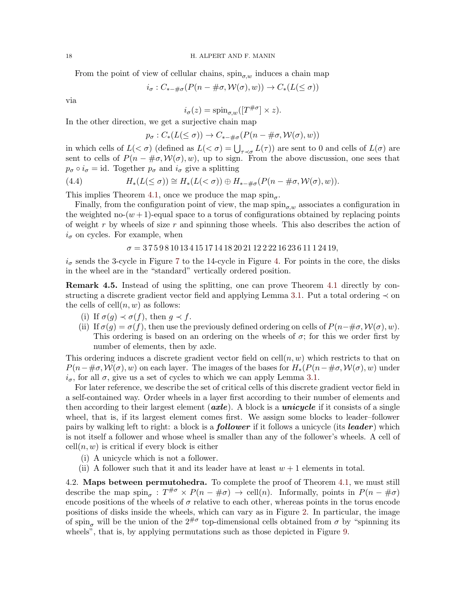From the point of view of cellular chains,  $\sin_{\sigma w}$  induces a chain map

$$
i_{\sigma}: C_{*-\#\sigma}(P(n-\#\sigma, \mathcal{W}(\sigma), w)) \to C_*(L(\leq \sigma))
$$

via

$$
i_{\sigma}(z) = \text{spin}_{\sigma,w}([T^{\#\sigma}] \times z).
$$

In the other direction, we get a surjective chain map

$$
p_{\sigma}: C_*(L(\leq \sigma)) \to C_{*-\#\sigma}(P(n-\#\sigma, \mathcal{W}(\sigma), w))
$$

in which cells of  $L( $\sigma$ )$  (defined as  $L( $\sigma$ ) = \bigcup_{\tau \prec \sigma} L(\tau)$ ) are sent to 0 and cells of  $L(\sigma)$  are sent to cells of  $P(n - \# \sigma, \mathcal{W}(\sigma), w)$ , up to sign. From the above discussion, one sees that  $p_{\sigma} \circ i_{\sigma} = id$ . Together  $p_{\sigma}$  and  $i_{\sigma}$  give a splitting

(4.4) 
$$
H_*(L(\leq \sigma)) \cong H_*(L(<\sigma)) \oplus H_{*-\#\sigma}(P(n-\#\sigma, \mathcal{W}(\sigma), w)).
$$

This implies Theorem [4.1,](#page-15-0) once we produce the map  $\text{spin}_{\sigma}$ .

Finally, from the configuration point of view, the map  $\sin \sigma_w$  associates a configuration in the weighted no- $(w + 1)$ -equal space to a torus of configurations obtained by replacing points of weight  $r$  by wheels of size  $r$  and spinning those wheels. This also describes the action of  $i_{\sigma}$  on cycles. For example, when

 $\sigma = 375981013415171418202112222162361112419,$ 

 $i_{\sigma}$  sends the 3-cycle in Figure [7](#page-13-0) to the 14-cycle in Figure [4.](#page-3-2) For points in the core, the disks in the wheel are in the "standard" vertically ordered position.

<span id="page-17-0"></span>Remark 4.5. Instead of using the splitting, one can prove Theorem [4.1](#page-15-0) directly by con-structing a discrete gradient vector field and applying Lemma [3.1.](#page-12-0) Put a total ordering  $\prec$  on the cells of  $\text{cell}(n, w)$  as follows:

- (i) If  $\sigma(q) \prec \sigma(f)$ , then  $q \prec f$ .
- (ii) If  $\sigma(g) = \sigma(f)$ , then use the previously defined ordering on cells of  $P(n-\#\sigma, \mathcal{W}(\sigma), w)$ . This ordering is based on an ordering on the wheels of  $\sigma$ ; for this we order first by number of elements, then by axle.

This ordering induces a discrete gradient vector field on  $\text{cell}(n, w)$  which restricts to that on  $P(n-\#\sigma,W(\sigma),w)$  on each layer. The images of the bases for  $H_*(P(n-\#\sigma,W(\sigma),w))$  under  $i_{\sigma}$ , for all  $\sigma$ , give us a set of cycles to which we can apply Lemma [3.1.](#page-12-0)

For later reference, we describe the set of critical cells of this discrete gradient vector field in a self-contained way. Order wheels in a layer first according to their number of elements and then according to their largest element (*axle*). A block is a *unicycle* if it consists of a single wheel, that is, if its largest element comes first. We assign some blocks to leader–follower pairs by walking left to right: a block is a **follower** if it follows a unicycle (its **leader**) which is not itself a follower and whose wheel is smaller than any of the follower's wheels. A cell of  $cell(n, w)$  is critical if every block is either

- (i) A unicycle which is not a follower.
- (ii) A follower such that it and its leader have at least  $w + 1$  elements in total.

4.2. Maps between permutohedra. To complete the proof of Theorem [4.1,](#page-15-0) we must still describe the map  $\text{spin}_{\sigma}: T^{\#\sigma} \times P(n - \#\sigma) \to \text{cell}(n)$ . Informally, points in  $P(n - \#\sigma)$ encode positions of the wheels of  $\sigma$  relative to each other, whereas points in the torus encode positions of disks inside the wheels, which can vary as in Figure [2.](#page-2-0) In particular, the image of spin<sub>σ</sub> will be the union of the  $2^{\# \sigma}$  top-dimensional cells obtained from  $\sigma$  by "spinning its wheels", that is, by applying permutations such as those depicted in Figure [9.](#page-18-0)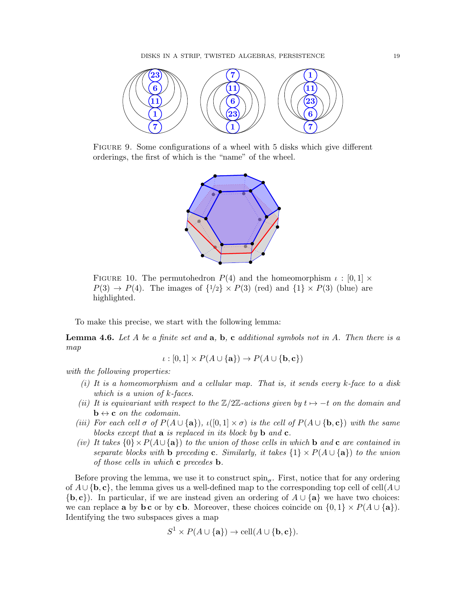<span id="page-18-0"></span>

Figure 9. Some configurations of a wheel with 5 disks which give different orderings, the first of which is the "name" of the wheel.



FIGURE 10. The permutohedron  $P(4)$  and the homeomorphism  $\iota : [0,1] \times$  $P(3) \rightarrow P(4)$ . The images of  $\{1/2\} \times P(3)$  (red) and  $\{1\} \times P(3)$  (blue) are highlighted.

To make this precise, we start with the following lemma:

<span id="page-18-1"></span>**Lemma 4.6.** Let A be a finite set and  $a, b, c$  additional symbols not in A. Then there is a map

$$
\iota : [0,1] \times P(A \cup \{a\}) \to P(A \cup \{b,c\})
$$

with the following properties:

- $(i)$  It is a homeomorphism and a cellular map. That is, it sends every k-face to a disk which is a union of k-faces.
- (ii) It is equivariant with respect to the  $\mathbb{Z}/2\mathbb{Z}$ -actions given by  $t \mapsto -t$  on the domain and  $\mathbf{b} \leftrightarrow \mathbf{c}$  on the codomain.
- (iii) For each cell  $\sigma$  of  $P(A \cup \{a\})$ ,  $\iota([0,1] \times \sigma)$  is the cell of  $P(A \cup \{b,c\})$  with the same blocks except that  $\bf{a}$  is replaced in its block by  $\bf{b}$  and  $\bf{c}$ .
- (iv) It takes  ${0 \times P(A \cup \{a\})}$  to the union of those cells in which b and c are contained in separate blocks with **b** preceding **c**. Similarly, it takes  $\{1\} \times P(A \cup \{a\})$  to the union of those cells in which  $c$  precedes  $b$ .

Before proving the lemma, we use it to construct  $\text{spin}_{\sigma}$ . First, notice that for any ordering of  $A \cup \{b, c\}$ , the lemma gives us a well-defined map to the corresponding top cell of cell $(A \cup$  ${b, c}$ . In particular, if we are instead given an ordering of  $A \cup \{a\}$  we have two choices: we can replace **a** by **bc** or by **c b**. Moreover, these choices coincide on  $\{0, 1\} \times P(A \cup \{a\})$ . Identifying the two subspaces gives a map

$$
S^1 \times P(A \cup \{a\}) \to \operatorname{cell}(A \cup \{b, c\}).
$$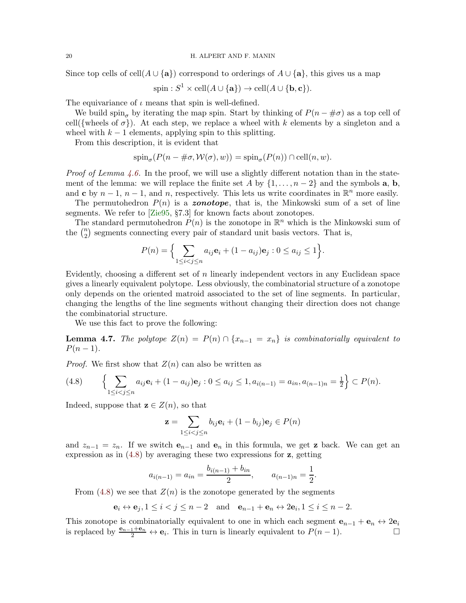Since top cells of cell(A ∪ {a}) correspond to orderings of  $A \cup \{a\}$ , this gives us a map

$$
\text{spin}: S^1 \times \text{cell}(A \cup \{a\}) \to \text{cell}(A \cup \{b, c\}).
$$

The equivariance of  $\iota$  means that spin is well-defined.

We build spin<sub>σ</sub> by iterating the map spin. Start by thinking of  $P(n - \# \sigma)$  as a top cell of cell({wheels of  $\sigma$ }). At each step, we replace a wheel with k elements by a singleton and a wheel with  $k - 1$  elements, applying spin to this splitting.

From this description, it is evident that

$$
\operatorname{spin}_{\sigma}(P(n - \#\sigma, \mathcal{W}(\sigma), w)) = \operatorname{spin}_{\sigma}(P(n)) \cap \operatorname{cell}(n, w).
$$

*Proof of Lemma [4.6.](#page-18-1)* In the proof, we will use a slightly different notation than in the statement of the lemma: we will replace the finite set A by  $\{1, \ldots, n-2\}$  and the symbols **a**, **b**, and c by  $n-1$ ,  $n-1$ , and n, respectively. This lets us write coordinates in  $\mathbb{R}^n$  more easily.

The permutohedron  $P(n)$  is a zonotope, that is, the Minkowski sum of a set of line segments. We refer to [\[Zie95,](#page-44-0) §7.3] for known facts about zonotopes.

The standard permutohedron  $P(n)$  is the zonotope in  $\mathbb{R}^n$  which is the Minkowski sum of the  $\binom{n}{2}$  $n_2$ ) segments connecting every pair of standard unit basis vectors. That is,

$$
P(n) = \Big\{ \sum_{1 \le i < j \le n} a_{ij} \mathbf{e}_i + (1 - a_{ij}) \mathbf{e}_j : 0 \le a_{ij} \le 1 \Big\}.
$$

Evidently, choosing a different set of  $n$  linearly independent vectors in any Euclidean space gives a linearly equivalent polytope. Less obviously, the combinatorial structure of a zonotope only depends on the oriented matroid associated to the set of line segments. In particular, changing the lengths of the line segments without changing their direction does not change the combinatorial structure.

We use this fact to prove the following:

<span id="page-19-1"></span>**Lemma 4.7.** The polytope  $Z(n) = P(n) \cap \{x_{n-1} = x_n\}$  is combinatorially equivalent to  $P(n-1)$ .

*Proof.* We first show that  $Z(n)$  can also be written as

<span id="page-19-0"></span>
$$
(4.8) \qquad \left\{ \sum_{1 \le i < j \le n} a_{ij} \mathbf{e}_i + (1 - a_{ij}) \mathbf{e}_j : 0 \le a_{ij} \le 1, a_{i(n-1)} = a_{in}, a_{(n-1)n} = \frac{1}{2} \right\} \subset P(n).
$$

Indeed, suppose that  $z \in Z(n)$ , so that

$$
\mathbf{z} = \sum_{1 \leq i < j \leq n} b_{ij} \mathbf{e}_i + (1 - b_{ij}) \mathbf{e}_j \in P(n)
$$

and  $z_{n-1} = z_n$ . If we switch  $e_{n-1}$  and  $e_n$  in this formula, we get **z** back. We can get an expression as in  $(4.8)$  by averaging these two expressions for z, getting

$$
a_{i(n-1)} = a_{in} = \frac{b_{i(n-1)} + b_{in}}{2}, \qquad a_{(n-1)n} = \frac{1}{2}.
$$

From [\(4.8\)](#page-19-0) we see that  $Z(n)$  is the zonotope generated by the segments

$$
\mathbf{e}_i \leftrightarrow \mathbf{e}_j, 1 \le i < j \le n-2 \quad \text{and} \quad \mathbf{e}_{n-1} + \mathbf{e}_n \leftrightarrow 2\mathbf{e}_i, 1 \le i \le n-2.
$$

This zonotope is combinatorially equivalent to one in which each segment  $e_{n-1} + e_n \leftrightarrow 2e_i$ is replaced by  $\frac{e_{n-1}+e_n}{2} \leftrightarrow e_i$ . This in turn is linearly equivalent to  $P(n-1)$ . □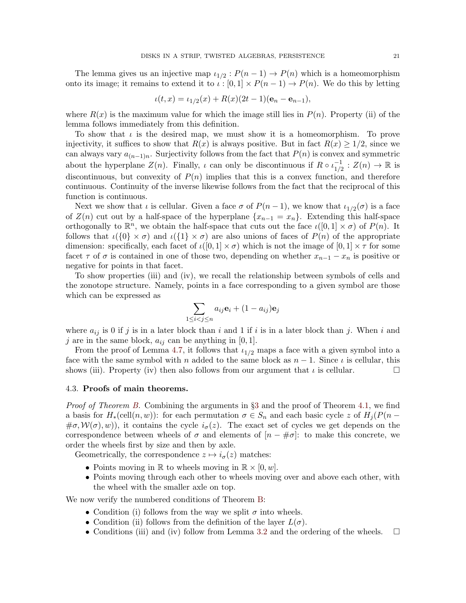The lemma gives us an injective map  $\iota_{1/2}: P(n-1) \to P(n)$  which is a homeomorphism onto its image; it remains to extend it to  $\iota : [0,1] \times P(n-1) \to P(n)$ . We do this by letting

$$
\iota(t,x) = \iota_{1/2}(x) + R(x)(2t-1)(\mathbf{e}_n - \mathbf{e}_{n-1}),
$$

where  $R(x)$  is the maximum value for which the image still lies in  $P(n)$ . Property (ii) of the lemma follows immediately from this definition.

To show that  $\iota$  is the desired map, we must show it is a homeomorphism. To prove injectivity, it suffices to show that  $R(x)$  is always positive. But in fact  $R(x) \geq 1/2$ , since we can always vary  $a_{(n-1)n}$ . Surjectivity follows from the fact that  $P(n)$  is convex and symmetric about the hyperplane  $Z(n)$ . Finally,  $\iota$  can only be discontinuous if  $R \circ \iota_{1/2}^{-1}$  $\frac{-1}{1/2} : Z(n) \to \mathbb{R}$  is discontinuous, but convexity of  $P(n)$  implies that this is a convex function, and therefore continuous. Continuity of the inverse likewise follows from the fact that the reciprocal of this function is continuous.

Next we show that  $\iota$  is cellular. Given a face  $\sigma$  of  $P(n-1)$ , we know that  $\iota_{1/2}(\sigma)$  is a face of  $Z(n)$  cut out by a half-space of the hyperplane  $\{x_{n-1} = x_n\}$ . Extending this half-space orthogonally to  $\mathbb{R}^n$ , we obtain the half-space that cuts out the face  $\iota([0,1] \times \sigma)$  of  $P(n)$ . It follows that  $\iota(\{0\}\times\sigma)$  and  $\iota(\{1\}\times\sigma)$  are also unions of faces of  $P(n)$  of the appropriate dimension: specifically, each facet of  $\iota([0,1] \times \sigma)$  which is not the image of  $[0,1] \times \tau$  for some facet  $\tau$  of  $\sigma$  is contained in one of those two, depending on whether  $x_{n-1} - x_n$  is positive or negative for points in that facet.

To show properties (iii) and (iv), we recall the relationship between symbols of cells and the zonotope structure. Namely, points in a face corresponding to a given symbol are those which can be expressed as

$$
\sum_{1 \le i < j \le n} a_{ij} \mathbf{e}_i + (1 - a_{ij}) \mathbf{e}_j
$$

where  $a_{ij}$  is 0 if j is in a later block than i and 1 if i is in a later block than j. When i and j are in the same block,  $a_{ij}$  can be anything in [0, 1].

From the proof of Lemma [4.7,](#page-19-1) it follows that  $\iota_{1/2}$  maps a face with a given symbol into a face with the same symbol with n added to the same block as  $n-1$ . Since  $\iota$  is cellular, this shows (iii). Property (iv) then also follows from our argument that  $\iota$  is cellular.

# 4.3. Proofs of main theorems.

Proof of Theorem [B.](#page-3-0) Combining the arguments in §[3](#page-11-0) and the proof of Theorem [4.1,](#page-15-0) we find a basis for  $H_*(\text{cell}(n, w))$ : for each permutation  $\sigma \in S_n$  and each basic cycle z of  $H_i(P(n \#\sigma, \mathcal{W}(\sigma), w)$ , it contains the cycle  $i_{\sigma}(z)$ . The exact set of cycles we get depends on the correspondence between wheels of  $\sigma$  and elements of  $[n - \# \sigma]$ : to make this concrete, we order the wheels first by size and then by axle.

Geometrically, the correspondence  $z \mapsto i_{\sigma}(z)$  matches:

- Points moving in  $\mathbb R$  to wheels moving in  $\mathbb R \times [0, w]$ .
- Points moving through each other to wheels moving over and above each other, with the wheel with the smaller axle on top.

We now verify the numbered conditions of Theorem [B:](#page-3-0)

- Condition (i) follows from the way we split  $\sigma$  into wheels.
- Condition (ii) follows from the definition of the layer  $L(\sigma)$ .
- Conditions (iii) and (iv) follow from Lemma [3.2](#page-13-1) and the ordering of the wheels.  $\square$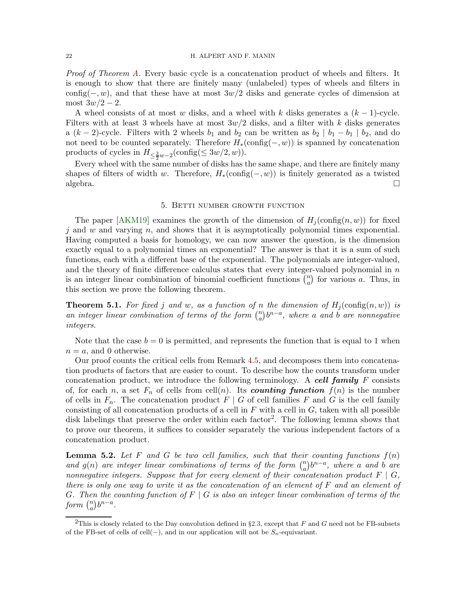### 22 H. ALPERT AND F. MANIN

Proof of Theorem [A.](#page-1-1) Every basic cycle is a concatenation product of wheels and filters. It is enough to show that there are finitely many (unlabeled) types of wheels and filters in config( $-, w$ ), and that these have at most 3w/2 disks and generate cycles of dimension at most  $3w/2 - 2$ .

A wheel consists of at most w disks, and a wheel with k disks generates a  $(k-1)$ -cycle. Filters with at least 3 wheels have at most  $3w/2$  disks, and a filter with k disks generates a  $(k-2)$ -cycle. Filters with 2 wheels  $b_1$  and  $b_2$  can be written as  $b_2 \mid b_1 - b_1 \mid b_2$ , and do not need to be counted separately. Therefore  $H_*(\text{config}(-, w))$  is spanned by concatenation products of cycles in  $H_{\leq \frac{3}{2}w-2}(\text{config}(\leq 3w/2, w)).$ 

Every wheel with the same number of disks has the same shape, and there are finitely many shapes of filters of width w. Therefore,  $H_*(\text{config}(-, w))$  is finitely generated as a twisted algebra.  $\square$ 

# 5. Betti number growth function

<span id="page-21-0"></span>The paper [\[AKM19\]](#page-40-10) examines the growth of the dimension of  $H_i(\text{config}(n, w))$  for fixed  $j$  and  $w$  and varying  $n$ , and shows that it is asymptotically polynomial times exponential. Having computed a basis for homology, we can now answer the question, is the dimension exactly equal to a polynomial times an exponential? The answer is that it is a sum of such functions, each with a different base of the exponential. The polynomials are integer-valued, and the theory of finite difference calculus states that every integer-valued polynomial in  $n$ is an integer linear combination of binomial coefficient functions  $\binom{n}{a}$  $\binom{n}{a}$  for various a. Thus, in this section we prove the following theorem.

<span id="page-21-2"></span>**Theorem 5.1.** For fixed j and w, as a function of n the dimension of  $H_i(\text{config}(n, w))$  is an integer linear combination of terms of the form  $\binom{n}{q}$  $\binom{n}{a}b^{n-a},$  where a and b are nonnegative integers.

Note that the case  $b = 0$  is permitted, and represents the function that is equal to 1 when  $n = a$ , and 0 otherwise.

Our proof counts the critical cells from Remark [4.5,](#page-17-0) and decomposes them into concatenation products of factors that are easier to count. To describe how the counts transform under concatenation product, we introduce the following terminology. A cell family  $F$  consists of, for each n, a set  $F_n$  of cells from cell(n). Its **counting function**  $f(n)$  is the number of cells in  $F_n$ . The concatenation product  $F \mid G$  of cell families F and G is the cell family consisting of all concatenation products of a cell in  $F$  with a cell in  $G$ , taken with all possible disk labelings that preserve the order within each factor<sup>[2](#page-21-1)</sup>. The following lemma shows that to prove our theorem, it suffices to consider separately the various independent factors of a concatenation product.

<span id="page-21-3"></span>**Lemma 5.2.** Let F and G be two cell families, such that their counting functions  $f(n)$ and  $g(n)$  are integer linear combinations of terms of the form  $\binom{n}{q}$  $\binom{n}{a}b^{n-a}$ , where a and b are nonnegative integers. Suppose that for every element of their concatenation product  $F \mid G$ , there is only one way to write it as the concatenation of an element of  $F$  and an element of G. Then the counting function of  $F \mid G$  is also an integer linear combination of terms of the form  $\binom{n}{a}$  ${n \choose a} b^{n-a}.$ 

<span id="page-21-1"></span><sup>&</sup>lt;sup>2</sup>This is closely related to the Day convolution defined in §[2.3,](#page-9-0) except that F and G need not be FB-subsets of the FB-set of cells of cell(−), and in our application will not be  $S_n$ -equivariant.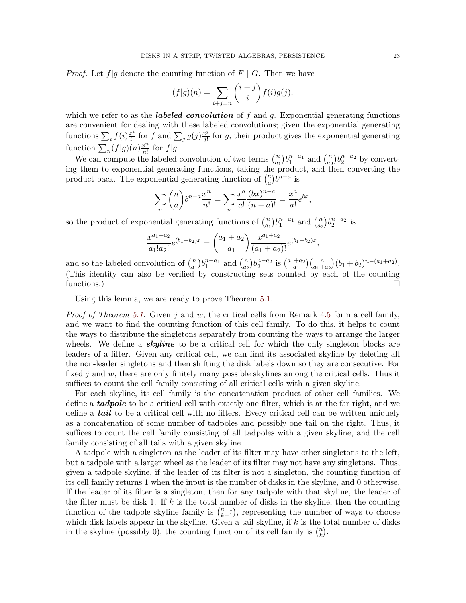*Proof.* Let  $f|g$  denote the counting function of  $F | G$ . Then we have

$$
(f|g)(n) = \sum_{i+j=n} {i+j \choose i} f(i)g(j),
$$

which we refer to as the **labeled convolution** of f and g. Exponential generating functions are convenient for dealing with these labeled convolutions; given the exponential generating functions  $\sum_i f(i) \frac{x^i}{i!}$  $\frac{x^i}{i!}$  for f and  $\sum_j g(j) \frac{x^j}{j!}$  $\frac{v^j}{j!}$  for g, their product gives the exponential generating function  $\sum_{n} (f|g)(n) \frac{x^{n}}{n!}$  $rac{x^n}{n!}$  for  $f|g$ .

We can compute the labeled convolution of two terms  $\binom{n}{a}$  ${n \choose a_1} b_1^{n-a_1}$  and  ${n \choose a_2}$  $\binom{n}{a_2} b_2^{n-a_2}$  by converting them to exponential generating functions, taking the product, and then converting the product back. The exponential generating function of  $\binom{n}{a}$  ${n \choose a} b^{n-a}$  is

$$
\sum_{n} {n \choose a} b^{n-a} \frac{x^n}{n!} = \sum_{n} \frac{x^a}{a!} \frac{(bx)^{n-a}}{(n-a)!} = \frac{x^a}{a!} e^{bx},
$$

so the product of exponential generating functions of  $\binom{n}{a}$  ${n \choose a_1} b_1^{n-a_1}$  and  ${n \choose a_2}$  ${n \choose a_2} b_2^{n-a_2}$  is

$$
\frac{x^{a_1+a_2}}{a_1!a_2!}e^{(b_1+b_2)x} = \binom{a_1+a_2}{a_1} \frac{x^{a_1+a_2}}{(a_1+a_2)!}e^{(b_1+b_2)x},
$$

and so the labeled convolution of  $\binom{n}{a}$  ${n \choose a_1} b_1^{n-a_1}$  and  ${n \choose a_2}$  $\binom{n}{a_2} b_2^{n-a_2}$  is  $\binom{a_1+a_2}{a_1}$  $a_1^{+a_2}$  $\binom{n}{a_1+a_2}$  $(b_1+b_2)^{n-(a_1+a_2)}$ . (This identity can also be verified by constructing sets counted by each of the counting functions.)

Using this lemma, we are ready to prove Theorem [5.1.](#page-21-2)

*Proof of Theorem [5.1.](#page-21-2)* Given j and w, the critical cells from Remark [4.5](#page-17-0) form a cell family, and we want to find the counting function of this cell family. To do this, it helps to count the ways to distribute the singletons separately from counting the ways to arrange the larger wheels. We define a **skyline** to be a critical cell for which the only singleton blocks are leaders of a filter. Given any critical cell, we can find its associated skyline by deleting all the non-leader singletons and then shifting the disk labels down so they are consecutive. For fixed j and w, there are only finitely many possible skylines among the critical cells. Thus it suffices to count the cell family consisting of all critical cells with a given skyline.

For each skyline, its cell family is the concatenation product of other cell families. We define a tadpole to be a critical cell with exactly one filter, which is at the far right, and we define a **tail** to be a critical cell with no filters. Every critical cell can be written uniquely as a concatenation of some number of tadpoles and possibly one tail on the right. Thus, it suffices to count the cell family consisting of all tadpoles with a given skyline, and the cell family consisting of all tails with a given skyline.

A tadpole with a singleton as the leader of its filter may have other singletons to the left, but a tadpole with a larger wheel as the leader of its filter may not have any singletons. Thus, given a tadpole skyline, if the leader of its filter is not a singleton, the counting function of its cell family returns 1 when the input is the number of disks in the skyline, and 0 otherwise. If the leader of its filter is a singleton, then for any tadpole with that skyline, the leader of the filter must be disk 1. If  $k$  is the total number of disks in the skyline, then the counting function of the tadpole skyline family is  $\binom{n-1}{k-1}$  $\binom{n-1}{k-1}$ , representing the number of ways to choose which disk labels appear in the skyline. Given a tail skyline, if  $k$  is the total number of disks in the skyline (possibly 0), the counting function of its cell family is  $\binom{n}{k}$  $\binom{n}{k}$ .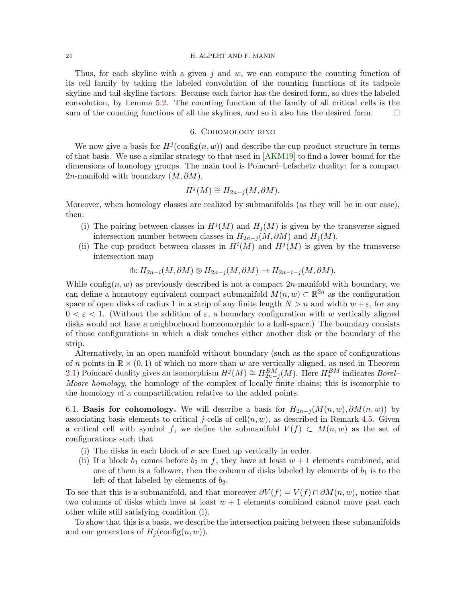### 24 H. ALPERT AND F. MANIN

Thus, for each skyline with a given j and  $w$ , we can compute the counting function of its cell family by taking the labeled convolution of the counting functions of its tadpole skyline and tail skyline factors. Because each factor has the desired form, so does the labeled convolution, by Lemma [5.2.](#page-21-3) The counting function of the family of all critical cells is the sum of the counting functions of all the skylines, and so it also has the desired form.  $\Box$ 

## 6. Cohomology ring

<span id="page-23-0"></span>We now give a basis for  $H^j(\text{config}(n, w))$  and describe the cup product structure in terms of that basis. We use a similar strategy to that used in [\[AKM19\]](#page-40-10) to find a lower bound for the dimensions of homology groups. The main tool is Poincaré–Lefschetz duality: for a compact 2n-manifold with boundary  $(M, \partial M)$ ,

$$
H^j(M) \cong H_{2n-j}(M, \partial M).
$$

Moreover, when homology classes are realized by submanifolds (as they will be in our case), then:

- (i) The pairing between classes in  $H^j(M)$  and  $H_j(M)$  is given by the transverse signed intersection number between classes in  $H_{2n-i}(M, \partial M)$  and  $H_i(M)$ .
- (ii) The cup product between classes in  $H^{i}(M)$  and  $H^{j}(M)$  is given by the transverse intersection map

$$
\text{th: } H_{2n-i}(M, \partial M) \otimes H_{2n-j}(M, \partial M) \to H_{2n-i-j}(M, \partial M).
$$

While config $(n, w)$  as previously described is not a compact  $2n$ -manifold with boundary, we can define a homotopy equivalent compact submanifold  $M(n, w) \subset \mathbb{R}^{2n}$  as the configuration space of open disks of radius 1 in a strip of any finite length  $N > n$  and width  $w + \varepsilon$ , for any  $0 < \varepsilon < 1$ . (Without the addition of  $\varepsilon$ , a boundary configuration with w vertically aligned disks would not have a neighborhood homeomorphic to a half-space.) The boundary consists of those configurations in which a disk touches either another disk or the boundary of the strip.

Alternatively, in an open manifold without boundary (such as the space of configurations of n points in  $\mathbb{R} \times (0,1)$  of which no more than w are vertically aligned, as used in Theorem [2.1\)](#page-7-1) Poincaré duality gives an isomorphism  $H^j(M) \cong H^{BM}_{2n-j}(M)$ . Here  $H^{BM}_*$  indicates *Borel*– Moore homology, the homology of the complex of locally finite chains; this is isomorphic to the homology of a compactification relative to the added points.

<span id="page-23-1"></span>6.1. **Basis for cohomology.** We will describe a basis for  $H_{2n-j}(M(n, w), \partial M(n, w))$  by associating basis elements to critical j-cells of cell $(n, w)$ , as described in Remark [4.5.](#page-17-0) Given a critical cell with symbol f, we define the submanifold  $V(f) \subset M(n, w)$  as the set of configurations such that

- (i) The disks in each block of  $\sigma$  are lined up vertically in order.
- (ii) If a block  $b_1$  comes before  $b_2$  in f, they have at least  $w + 1$  elements combined, and one of them is a follower, then the column of disks labeled by elements of  $b_1$  is to the left of that labeled by elements of  $b_2$ .

To see that this is a submanifold, and that moreover  $\partial V(f) = V(f) \cap \partial M(n, w)$ , notice that two columns of disks which have at least  $w + 1$  elements combined cannot move past each other while still satisfying condition (i).

To show that this is a basis, we describe the intersection pairing between these submanifolds and our generators of  $H_i(\text{config}(n, w))$ .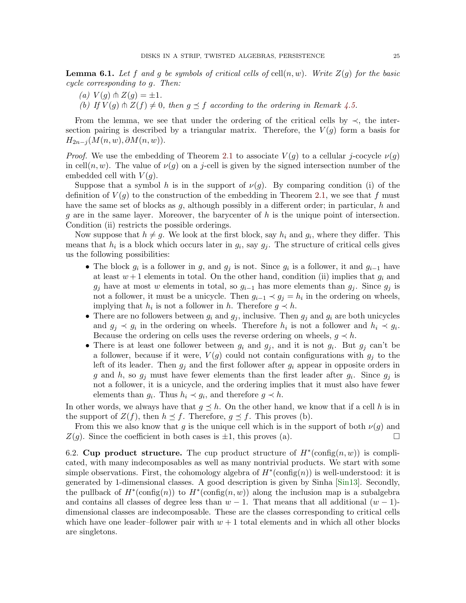**Lemma 6.1.** Let f and g be symbols of critical cells of cell $(n, w)$ . Write  $Z(q)$  for the basic cycle corresponding to g. Then:

(a)  $V(g) \pitchfork Z(g) = \pm 1.$ (b) If  $V(g) \pitchfork Z(f) \neq 0$ , then  $g \preceq f$  according to the ordering in Remark [4.5.](#page-17-0)

From the lemma, we see that under the ordering of the critical cells by  $\prec$ , the intersection pairing is described by a triangular matrix. Therefore, the  $V(g)$  form a basis for  $H_{2n-i}(M(n, w), \partial M(n, w)).$ 

*Proof.* We use the embedding of Theorem [2.1](#page-7-1) to associate  $V(q)$  to a cellular j-cocycle  $\nu(q)$ in cell $(n, w)$ . The value of  $\nu(g)$  on a j-cell is given by the signed intersection number of the embedded cell with  $V(q)$ .

Suppose that a symbol h is in the support of  $\nu(q)$ . By comparing condition (i) of the definition of  $V(g)$  to the construction of the embedding in Theorem [2.1,](#page-7-1) we see that f must have the same set of blocks as  $g$ , although possibly in a different order; in particular,  $h$  and  $q$  are in the same layer. Moreover, the barycenter of  $h$  is the unique point of intersection. Condition (ii) restricts the possible orderings.

Now suppose that  $h \neq g$ . We look at the first block, say  $h_i$  and  $g_i$ , where they differ. This means that  $h_i$  is a block which occurs later in  $g_i$ , say  $g_j$ . The structure of critical cells gives us the following possibilities:

- The block  $g_i$  is a follower in g, and  $g_j$  is not. Since  $g_i$  is a follower, it and  $g_{i-1}$  have at least  $w + 1$  elements in total. On the other hand, condition (ii) implies that  $g_i$  and  $g_j$  have at most w elements in total, so  $g_{i-1}$  has more elements than  $g_j$ . Since  $g_j$  is not a follower, it must be a unicycle. Then  $g_{i-1} \prec g_j = h_i$  in the ordering on wheels, implying that  $h_i$  is not a follower in h. Therefore  $g \prec h$ .
- There are no followers between  $g_i$  and  $g_j$ , inclusive. Then  $g_j$  and  $g_i$  are both unicycles and  $g_j \prec g_i$  in the ordering on wheels. Therefore  $h_i$  is not a follower and  $h_i \prec g_i$ . Because the ordering on cells uses the reverse ordering on wheels,  $g \prec h$ .
- There is at least one follower between  $g_i$  and  $g_j$ , and it is not  $g_i$ . But  $g_j$  can't be a follower, because if it were,  $V(g)$  could not contain configurations with  $g_i$  to the left of its leader. Then  $g_j$  and the first follower after  $g_i$  appear in opposite orders in g and h, so  $g_j$  must have fewer elements than the first leader after  $g_i$ . Since  $g_j$  is not a follower, it is a unicycle, and the ordering implies that it must also have fewer elements than  $g_i$ . Thus  $h_i \prec g_i$ , and therefore  $g \prec h$ .

In other words, we always have that  $g \leq h$ . On the other hand, we know that if a cell h is in the support of  $Z(f)$ , then  $h \preceq f$ . Therefore,  $g \preceq f$ . This proves (b).

From this we also know that g is the unique cell which is in the support of both  $\nu(g)$  and  $Z(g)$ . Since the coefficient in both cases is  $\pm 1$ , this proves (a).

6.2. Cup product structure. The cup product structure of  $H^*(\text{config}(n, w))$  is complicated, with many indecomposables as well as many nontrivial products. We start with some simple observations. First, the cohomology algebra of  $H^*(\text{config}(n))$  is well-understood: it is generated by 1-dimensional classes. A good description is given by Sinha [\[Sin13\]](#page-43-0). Secondly, the pullback of  $H^*(\text{config}(n))$  to  $H^*(\text{config}(n,w))$  along the inclusion map is a subalgebra and contains all classes of degree less than  $w - 1$ . That means that all additional  $(w - 1)$ dimensional classes are indecomposable. These are the classes corresponding to critical cells which have one leader–follower pair with  $w + 1$  total elements and in which all other blocks are singletons.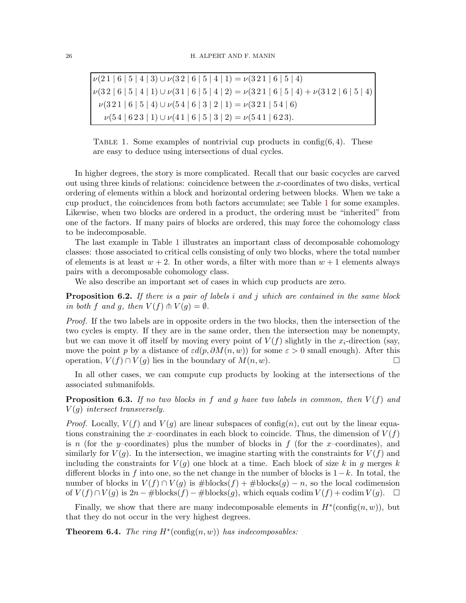<span id="page-25-1"></span> $\nu(21 \mid 6 \mid 5 \mid 4 \mid 3) \cup \nu(32 \mid 6 \mid 5 \mid 4 \mid 1) = \nu(321 \mid 6 \mid 5 \mid 4)$  $\nu(3\ 2\ | \ 6\ | \ 5\ | \ 4\ | \ 1)\cup\nu(3\ 1\ | \ 6\ | \ 5\ | \ 4\ | \ 2)=\nu(3\ 2\ 1\ | \ 6\ | \ 5\ | \ 4)+\nu(3\ 1\ 2\ | \ 6\ | \ 5\ | \ 4)$  $\nu(3\,2\,1\mid 6\mid 5\mid 4)\cup\nu(5\,4\mid 6\mid 3\mid 2\mid 1)=\nu(3\,2\,1\mid 5\,4\mid 6)$  $\nu(54 | 623 | 1) \cup \nu(41 | 6 | 5 | 3 | 2) = \nu(541 | 623).$ 

TABLE 1. Some examples of nontrivial cup products in config $(6, 4)$ . These are easy to deduce using intersections of dual cycles.

In higher degrees, the story is more complicated. Recall that our basic cocycles are carved out using three kinds of relations: coincidence between the x-coordinates of two disks, vertical ordering of elements within a block and horizontal ordering between blocks. When we take a cup product, the coincidences from both factors accumulate; see Table [1](#page-25-1) for some examples. Likewise, when two blocks are ordered in a product, the ordering must be "inherited" from one of the factors. If many pairs of blocks are ordered, this may force the cohomology class to be indecomposable.

The last example in Table [1](#page-25-1) illustrates an important class of decomposable cohomology classes: those associated to critical cells consisting of only two blocks, where the total number of elements is at least  $w + 2$ . In other words, a filter with more than  $w + 1$  elements always pairs with a decomposable cohomology class.

We also describe an important set of cases in which cup products are zero.

**Proposition 6.2.** If there is a pair of labels i and j which are contained in the same block in both f and q, then  $V(f) \pitchfork V(q) = \emptyset$ .

Proof. If the two labels are in opposite orders in the two blocks, then the intersection of the two cycles is empty. If they are in the same order, then the intersection may be nonempty, but we can move it off itself by moving every point of  $V(f)$  slightly in the  $x_i$ -direction (say, move the point p by a distance of  $\varepsilon d(p, \partial M(n, w))$  for some  $\varepsilon > 0$  small enough). After this operation,  $V(f) \cap V(g)$  lies in the boundary of  $M(n, w)$ .

In all other cases, we can compute cup products by looking at the intersections of the associated submanifolds.

**Proposition 6.3.** If no two blocks in f and q have two labels in common, then  $V(f)$  and  $V(q)$  intersect transversely.

*Proof.* Locally,  $V(f)$  and  $V(q)$  are linear subspaces of config(n), cut out by the linear equations constraining the x-coordinates in each block to coincide. Thus, the dimension of  $V(f)$ is n (for the y–coordinates) plus the number of blocks in f (for the x–coordinates), and similarly for  $V(q)$ . In the intersection, we imagine starting with the constraints for  $V(f)$  and including the constraints for  $V(g)$  one block at a time. Each block of size k in g merges k different blocks in f into one, so the net change in the number of blocks is  $1-k$ . In total, the number of blocks in  $V(f) \cap V(q)$  is  $\# \text{blocks}(f) + \# \text{blocks}(q) - n$ , so the local codimension of  $V(f) \cap V(g)$  is  $2n - \# \text{blocks}(f) - \# \text{blocks}(g)$ , which equals codim  $V(f) + \text{codim } V(g)$ .  $\Box$ 

Finally, we show that there are many indecomposable elements in  $H^*(\text{config}(n, w))$ , but that they do not occur in the very highest degrees.

<span id="page-25-0"></span>**Theorem 6.4.** The ring  $H^*(\text{config}(n, w))$  has indecomposables: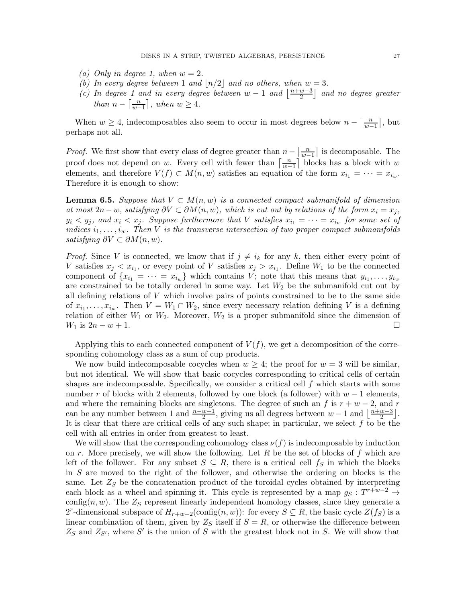- (a) Only in degree 1, when  $w = 2$ .
- (b) In every degree between 1 and  $|n/2|$  and no others, when  $w = 3$ .
- (c) In degree 1 and in every degree between  $w-1$  and  $\frac{n+w-3}{2}$  $\left(\frac{w-3}{2}\right)$  and no degree greater than  $n - \left\lceil \frac{n}{m} \right\rceil$  $\left\lfloor \frac{n}{w-1} \right\rfloor$ , when  $w \geq 4$ .

When  $w \geq 4$ , indecomposables also seem to occur in most degrees below  $n - \frac{n}{w-1}$  $\frac{n}{w-1}$ , but perhaps not all.

*Proof.* We first show that every class of degree greater than  $n - \frac{n}{m}$  $\frac{n}{w-1}$  is decomposable. The proof does not depend on w. Every cell with fewer than  $\left[\frac{n}{m}\right]$  $\frac{n}{w-1}$  blocks has a block with w elements, and therefore  $V(f) \subset M(n, w)$  satisfies an equation of the form  $x_{i_1} = \cdots = x_{i_w}$ . Therefore it is enough to show:

**Lemma 6.5.** Suppose that  $V \subset M(n, w)$  is a connected compact submanifold of dimension at most  $2n - w$ , satisfying  $\partial V \subset \partial M(n, w)$ , which is cut out by relations of the form  $x_i = x_j$ ,  $y_i \langle y_j \rangle$  and  $x_i \langle x_j \rangle$ . Suppose furthermore that V satisfies  $x_{i_1} = \cdots = x_{i_w}$  for some set of indices  $i_1, \ldots, i_w$ . Then V is the transverse intersection of two proper compact submanifolds satisfying  $\partial V \subset \partial M(n, w)$ .

*Proof.* Since V is connected, we know that if  $j \neq i_k$  for any k, then either every point of V satisfies  $x_j < x_{i_1}$ , or every point of V satisfies  $x_j > x_{i_1}$ . Define  $W_1$  to be the connected component of  $\{x_{i_1} = \cdots = x_{i_w}\}\$  which contains V; note that this means that  $y_{i_1}, \ldots, y_{i_w}\$ are constrained to be totally ordered in some way. Let  $W_2$  be the submanifold cut out by all defining relations of  $V$  which involve pairs of points constrained to be to the same side of  $x_{i_1}, \ldots, x_{i_w}$ . Then  $V = W_1 \cap W_2$ , since every necessary relation defining V is a defining relation of either  $W_1$  or  $W_2$ . Moreover,  $W_2$  is a proper submanifold since the dimension of  $W_1$  is  $2n - w + 1$ .

Applying this to each connected component of  $V(f)$ , we get a decomposition of the corresponding cohomology class as a sum of cup products.

We now build indecomposable cocycles when  $w \geq 4$ ; the proof for  $w = 3$  will be similar, but not identical. We will show that basic cocycles corresponding to critical cells of certain shapes are indecomposable. Specifically, we consider a critical cell  $f$  which starts with some number r of blocks with 2 elements, followed by one block (a follower) with  $w - 1$  elements, and where the remaining blocks are singletons. The degree of such an f is  $r + w - 2$ , and r can be any number between 1 and  $\frac{n-w+1}{2}$ , giving us all degrees between  $w-1$  and  $\lfloor \frac{n+w-3}{2} \rfloor$  $\frac{w-3}{2}$ . It is clear that there are critical cells of any such shape; in particular, we select  $f$  to be the cell with all entries in order from greatest to least.

We will show that the corresponding cohomology class  $\nu(f)$  is indecomposable by induction on r. More precisely, we will show the following. Let R be the set of blocks of f which are left of the follower. For any subset  $S \subseteq R$ , there is a critical cell  $f_S$  in which the blocks in S are moved to the right of the follower, and otherwise the ordering on blocks is the same. Let  $Z<sub>S</sub>$  be the concatenation product of the toroidal cycles obtained by interpreting each block as a wheel and spinning it. This cycle is represented by a map  $g_S: T^{r+w-2} \to$ config(n, w). The  $Z<sub>S</sub>$  represent linearly independent homology classes, since they generate a 2<sup>r</sup>-dimensional subspace of  $H_{r+w-2}(\text{config}(n, w))$ : for every  $S \subseteq R$ , the basic cycle  $Z(f_S)$  is a linear combination of them, given by  $Z_S$  itself if  $S = R$ , or otherwise the difference between  $Z_S$  and  $Z_{S'}$ , where S' is the union of S with the greatest block not in S. We will show that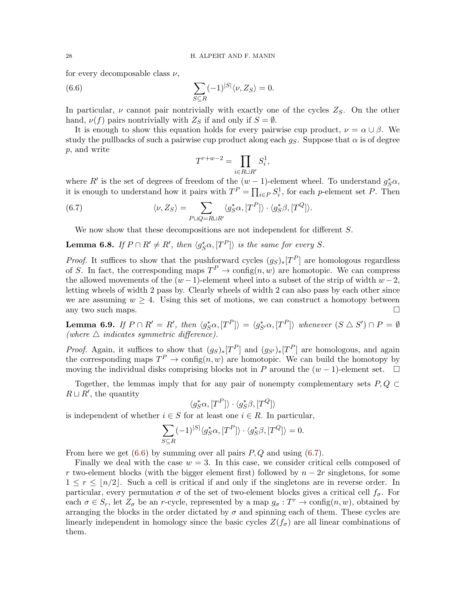for every decomposable class  $\nu$ ,

(6.6) 
$$
\sum_{S \subseteq R} (-1)^{|S|} \langle \nu, Z_S \rangle = 0.
$$

In particular,  $\nu$  cannot pair nontrivially with exactly one of the cycles  $Z_S$ . On the other hand,  $\nu(f)$  pairs nontrivially with  $Z_S$  if and only if  $S = \emptyset$ .

It is enough to show this equation holds for every pairwise cup product,  $\nu = \alpha \cup \beta$ . We study the pullbacks of such a pairwise cup product along each  $g_S$ . Suppose that  $\alpha$  is of degree p, and write

<span id="page-27-1"></span><span id="page-27-0"></span>
$$
T^{r+w-2} = \prod_{i \in R \sqcup R'} S_i^1,
$$

where R' is the set of degrees of freedom of the  $(w-1)$ -element wheel. To understand  $g_S^*\alpha$ , it is enough to understand how it pairs with  $T^P = \prod_{i \in P} S_i^1$ , for each p-element set P. Then

(6.7) 
$$
\langle \nu, Z_S \rangle = \sum_{P \sqcup Q = R \sqcup R'} \langle g_S^* \alpha, [T^P] \rangle \cdot \langle g_S^* \beta, [T^Q] \rangle.
$$

We now show that these decompositions are not independent for different S.

**Lemma 6.8.** If  $P \cap R' \neq R'$ , then  $\langle g_S^* \alpha, [T^P] \rangle$  is the same for every S.

*Proof.* It suffices to show that the pushforward cycles  $(g_S)_*[T^P]$  are homologous regardless of S. In fact, the corresponding maps  $T^P \to \text{config}(n, w)$  are homotopic. We can compress the allowed movements of the  $(w-1)$ -element wheel into a subset of the strip of width  $w-2$ , letting wheels of width 2 pass by. Clearly wheels of width 2 can also pass by each other since we are assuming  $w \geq 4$ . Using this set of motions, we can construct a homotopy between any two such maps.  $\Box$ 

**Lemma 6.9.** If  $P \cap R' = R'$ , then  $\langle g_S^* \alpha, [T^P] \rangle = \langle g_{S'}^* \alpha, [T^P] \rangle$  whenever  $(S \triangle S') \cap P = \emptyset$ (where  $\triangle$  indicates symmetric difference).

*Proof.* Again, it suffices to show that  $(g_S)_*[T^P]$  and  $(g_{S'})*[T^P]$  are homologous, and again the corresponding maps  $T^P \to \text{config}(n, w)$  are homotopic. We can build the homotopy by moving the individual disks comprising blocks not in P around the  $(w - 1)$ -element set.  $\square$ 

Together, the lemmas imply that for any pair of nonempty complementary sets  $P, Q \subset$  $R \sqcup R'$ , the quantity

$$
\langle g_S^*\alpha, [T^P] \rangle \cdot \langle g_S^*\beta, [T^Q] \rangle
$$

is independent of whether  $i \in S$  for at least one  $i \in R$ . In particular,

$$
\sum_{S \subseteq R} (-1)^{|S|} \langle g_S^* \alpha, [T^P] \rangle \cdot \langle g_S^* \beta, [T^Q] \rangle = 0.
$$

From here we get  $(6.6)$  by summing over all pairs  $P, Q$  and using  $(6.7)$ .

Finally we deal with the case  $w = 3$ . In this case, we consider critical cells composed of r two-element blocks (with the bigger element first) followed by  $n - 2r$  singletons, for some  $1 \leq r \leq \lfloor n/2 \rfloor$ . Such a cell is critical if and only if the singletons are in reverse order. In particular, every permutation  $\sigma$  of the set of two-element blocks gives a critical cell  $f_{\sigma}$ . For each  $\sigma \in S_r$ , let  $Z_{\sigma}$  be an r-cycle, represented by a map  $g_{\sigma}: T^r \to \text{config}(n, w)$ , obtained by arranging the blocks in the order dictated by  $\sigma$  and spinning each of them. These cycles are linearly independent in homology since the basic cycles  $Z(f_{\sigma})$  are all linear combinations of them.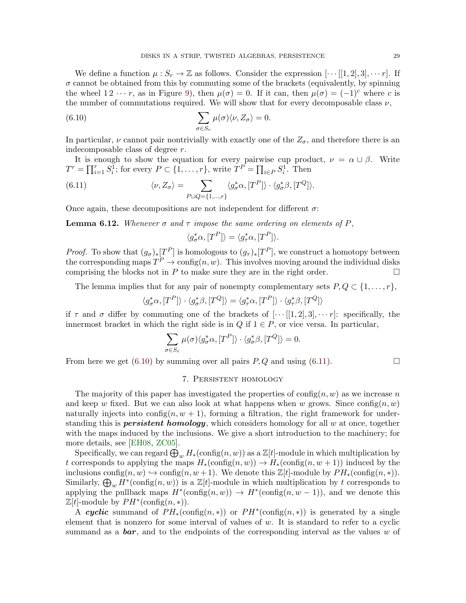We define a function  $\mu: S_r \to \mathbb{Z}$  as follows. Consider the expression  $[\cdots[[1,2],3],\cdots r]$ . If  $\sigma$  cannot be obtained from this by commuting some of the brackets (equivalently, by spinning the wheel  $1 \, 2 \, \cdots r$ , as in Figure [9\)](#page-18-0), then  $\mu(\sigma) = 0$ . If it can, then  $\mu(\sigma) = (-1)^c$  where c is the number of commutations required. We will show that for every decomposable class  $\nu$ ,

(6.10) 
$$
\sum_{\sigma \in S_r} \mu(\sigma) \langle \nu, Z_{\sigma} \rangle = 0.
$$

In particular,  $\nu$  cannot pair nontrivially with exactly one of the  $Z_{\sigma}$ , and therefore there is an indecomposable class of degree r.

It is enough to show the equation for every pairwise cup product,  $\nu = \alpha \cup \beta$ . Write  $T^r = \prod_{i=1}^r S_i^{\overline{1}}$ ; for every  $P \subset \{1, \ldots, r\}$ , write  $T^P = \prod_{i \in P} S_i^{\overline{1}}$ . Then

(6.11) 
$$
\langle \nu, Z_{\sigma} \rangle = \sum_{P \sqcup Q = \{1, ..., r\}} \langle g_{\sigma}^* \alpha, [T^P] \rangle \cdot \langle g_{\sigma}^* \beta, [T^Q] \rangle.
$$

Once again, these decompositions are not independent for different  $\sigma$ :

**Lemma 6.12.** Whenever  $\sigma$  and  $\tau$  impose the same ordering on elements of P,

<span id="page-28-2"></span><span id="page-28-1"></span>
$$
\langle g_{\sigma}^* \alpha, [T^P] \rangle = \langle g_{\tau}^* \alpha, [T^P] \rangle.
$$

*Proof.* To show that  $(g_{\sigma})_*[T^P]$  is homologous to  $(g_{\tau})_*[T^P]$ , we construct a homotopy between the corresponding maps  $T^P \to \text{config}(n, w)$ . This involves moving around the individual disks comprising the blocks not in  $P$  to make sure they are in the right order.  $\Box$ 

The lemma implies that for any pair of nonempty complementary sets  $P, Q \subset \{1, \ldots, r\}$ ,

$$
\langle g_{\sigma}^* \alpha, [T^P] \rangle \cdot \langle g_{\sigma}^* \beta, [T^Q] \rangle = \langle g_{\tau}^* \alpha, [T^P] \rangle \cdot \langle g_{\tau}^* \beta, [T^Q] \rangle
$$

if  $\tau$  and  $\sigma$  differ by commuting one of the brackets of  $[\cdots[[1,2],3],\cdots r]$ : specifically, the innermost bracket in which the right side is in  $Q$  if  $1 \in P$ , or vice versa. In particular,

$$
\sum_{\sigma \in S_r} \mu(\sigma) \langle g_{\sigma}^* \alpha, [T^P] \rangle \cdot \langle g_{\sigma}^* \beta, [T^Q] \rangle = 0.
$$

<span id="page-28-0"></span>From here we get [\(6.10\)](#page-28-1) by summing over all pairs  $P, Q$  and using [\(6.11\)](#page-28-2).

# 7. Persistent homology

The majority of this paper has investigated the properties of  $\text{config}(n, w)$  as we increase n and keep w fixed. But we can also look at what happens when w grows. Since  $\text{config}(n, w)$ naturally injects into config $(n, w + 1)$ , forming a filtration, the right framework for understanding this is **persistent homology**, which considers homology for all  $w$  at once, together with the maps induced by the inclusions. We give a short introduction to the machinery; for more details, see [\[EH08,](#page-40-15) [ZC05\]](#page-44-1).

Specifically, we can regard  $\bigoplus_w H_*(\mathrm{config}(n,w))$  as a  $\mathbb{Z}[t]$ -module in which multiplication by t corresponds to applying the maps  $H_*(\text{config}(n, w)) \to H_*(\text{config}(n, w+1))$  induced by the inclusions config $(n, w) \hookrightarrow \text{config}(n, w+1)$ . We denote this  $\mathbb{Z}[t]$ -module by  $PH_*(\text{config}(n, *))$ . Similarly,  $\bigoplus_w H^*(\text{config}(n, w))$  is a  $\mathbb{Z}[t]$ -module in which multiplication by t corresponds to applying the pullback maps  $H^*(\text{config}(n, w)) \to H^*(\text{config}(n, w - 1))$ , and we denote this  $\mathbb{Z}[t]$ -module by  $PH^*(\text{config}(n,*))$ .

A cyclic summand of  $PH_*(\text{config}(n,*))$  or  $PH^*(\text{config}(n,*))$  is generated by a single element that is nonzero for some interval of values of  $w$ . It is standard to refer to a cyclic summand as a **bar**, and to the endpoints of the corresponding interval as the values w of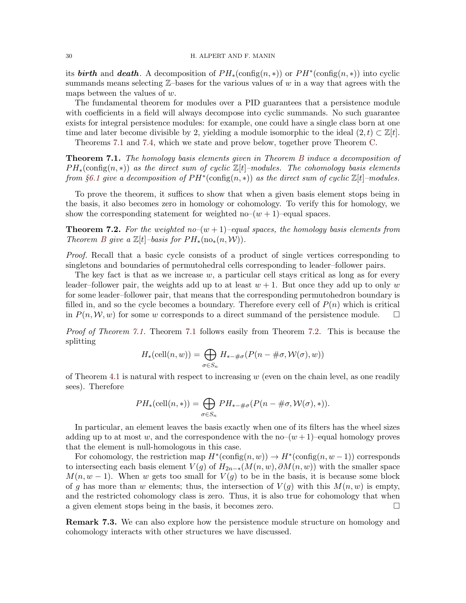its **birth** and **death**. A decomposition of  $PH_*(\text{config}(n,*))$  or  $PH^*(\text{config}(n,*))$  into cyclic summands means selecting  $\mathbb{Z}-$ bases for the various values of w in a way that agrees with the maps between the values of w.

The fundamental theorem for modules over a PID guarantees that a persistence module with coefficients in a field will always decompose into cyclic summands. No such guarantee exists for integral persistence modules: for example, one could have a single class born at one time and later become divisible by 2, yielding a module isomorphic to the ideal  $(2, t) \subset \mathbb{Z}[t]$ .

Theorems [7.1](#page-29-0) and [7.4,](#page-30-0) which we state and prove below, together prove Theorem [C.](#page-4-0)

<span id="page-29-0"></span>Theorem 7.1. The homology basis elements given in Theorem [B](#page-3-0) induce a decomposition of  $PH_*(\text{config}(n,*))$  as the direct sum of cyclic  $\mathbb{Z}[t]$ –modules. The cohomology basis elements from §[6.1](#page-23-1) give a decomposition of  $PH^*(\text{config}(n,*))$  as the direct sum of cyclic  $\mathbb{Z}[t]$ -modules.

To prove the theorem, it suffices to show that when a given basis element stops being in the basis, it also becomes zero in homology or cohomology. To verify this for homology, we show the corresponding statement for weighted no– $(w + 1)$ –equal spaces.

<span id="page-29-1"></span>**Theorem 7.2.** For the weighted no– $(w + 1)$ –equal spaces, the homology basis elements from Theorem [B](#page-3-0) give a  $\mathbb{Z}[t]$ –basis for  $PH_*(\text{no}_*(n,\mathcal{W}))$ .

Proof. Recall that a basic cycle consists of a product of single vertices corresponding to singletons and boundaries of permutohedral cells corresponding to leader–follower pairs.

The key fact is that as we increase  $w$ , a particular cell stays critical as long as for every leader–follower pair, the weights add up to at least  $w + 1$ . But once they add up to only w for some leader–follower pair, that means that the corresponding permutohedron boundary is filled in, and so the cycle becomes a boundary. Therefore every cell of  $P(n)$  which is critical in  $P(n, W, w)$  for some w corresponds to a direct summand of the persistence module.  $\square$ 

Proof of Theorem [7.1.](#page-29-0) Theorem [7.1](#page-29-0) follows easily from Theorem [7.2.](#page-29-1) This is because the splitting

$$
H_*(\text{cell}(n, w)) = \bigoplus_{\sigma \in S_n} H_{*-\#\sigma}(P(n - \#\sigma, \mathcal{W}(\sigma), w))
$$

of Theorem [4.1](#page-15-0) is natural with respect to increasing  $w$  (even on the chain level, as one readily sees). Therefore

$$
PH_*(\text{cell}(n,*)) = \bigoplus_{\sigma \in S_n} PH_{*-\#\sigma}(P(n - \#\sigma, \mathcal{W}(\sigma),*)).
$$

In particular, an element leaves the basis exactly when one of its filters has the wheel sizes adding up to at most w, and the correspondence with the no– $(w+1)$ –equal homology proves that the element is null-homologous in this case.

For cohomology, the restriction map  $H^*(\text{config}(n, w)) \to H^*(\text{config}(n, w-1))$  corresponds to intersecting each basis element  $V(g)$  of  $H_{2n-*}(M(n, w), \partial M(n, w))$  with the smaller space  $M(n, w - 1)$ . When w gets too small for  $V(g)$  to be in the basis, it is because some block of g has more than w elements; thus, the intersection of  $V(q)$  with this  $M(n, w)$  is empty, and the restricted cohomology class is zero. Thus, it is also true for cohomology that when a given element stops being in the basis, it becomes zero.

Remark 7.3. We can also explore how the persistence module structure on homology and cohomology interacts with other structures we have discussed.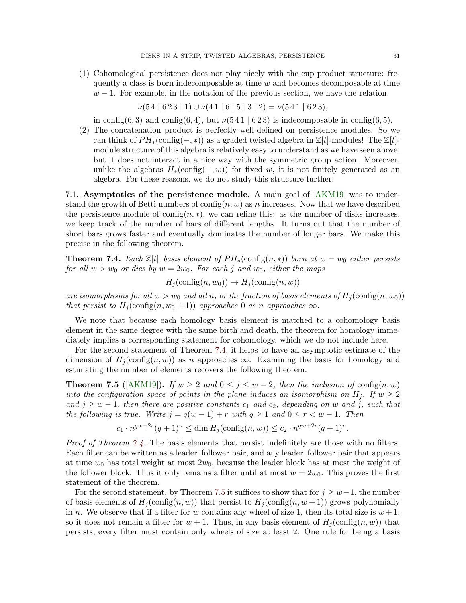(1) Cohomological persistence does not play nicely with the cup product structure: frequently a class is born indecomposable at time  $w$  and becomes decomposable at time  $w-1$ . For example, in the notation of the previous section, we have the relation

 $\nu(54 | 623 | 1) \cup \nu(41 | 6 | 5 | 3 | 2) = \nu(541 | 623),$ 

in config(6, 3) and config(6, 4), but  $\nu(541 \mid 623)$  is indecomposable in config(6, 5).

(2) The concatenation product is perfectly well-defined on persistence modules. So we can think of  $PH_*(\text{config}(-,*))$  as a graded twisted algebra in  $\mathbb{Z}[t]$ -modules! The  $\mathbb{Z}[t]$ module structure of this algebra is relatively easy to understand as we have seen above, but it does not interact in a nice way with the symmetric group action. Moreover, unlike the algebras  $H_*(\text{config}(-, w))$  for fixed w, it is not finitely generated as an algebra. For these reasons, we do not study this structure further.

7.1. Asymptotics of the persistence module. A main goal of [\[AKM19\]](#page-40-10) was to understand the growth of Betti numbers of  $\text{config}(n, w)$  as n increases. Now that we have described the persistence module of config $(n, *)$ , we can refine this: as the number of disks increases, we keep track of the number of bars of different lengths. It turns out that the number of short bars grows faster and eventually dominates the number of longer bars. We make this precise in the following theorem.

<span id="page-30-0"></span>**Theorem 7.4.** Each  $\mathbb{Z}[t]$ –basis element of  $PH_*(\text{config}(n,*))$  born at  $w = w_0$  either persists for all  $w > w_0$  or dies by  $w = 2w_0$ . For each j and  $w_0$ , either the maps

 $H_i(\text{config}(n, w_0)) \to H_i(\text{config}(n, w))$ 

are isomorphisms for all  $w > w_0$  and all n, or the fraction of basis elements of  $H_j(\text{config}(n, w_0))$ that persist to  $H_i(\text{config}(n, w_0 + 1))$  approaches 0 as n approaches  $\infty$ .

We note that because each homology basis element is matched to a cohomology basis element in the same degree with the same birth and death, the theorem for homology immediately implies a corresponding statement for cohomology, which we do not include here.

For the second statement of Theorem [7.4,](#page-30-0) it helps to have an asymptotic estimate of the dimension of  $H_i(\text{config}(n, w))$  as n approaches  $\infty$ . Examining the basis for homology and estimating the number of elements recovers the following theorem.

<span id="page-30-1"></span>**Theorem 7.5** ([\[AKM19\]](#page-40-10)). If  $w \ge 2$  and  $0 \le j \le w-2$ , then the inclusion of config $(n, w)$ into the configuration space of points in the plane induces an isomorphism on  $H_i$ . If  $w \geq 2$ and  $j \geq w-1$ , then there are positive constants  $c_1$  and  $c_2$ , depending on w and j, such that the following is true. Write  $j = q(w - 1) + r$  with  $q \ge 1$  and  $0 \le r < w - 1$ . Then

$$
c_1 \cdot n^{qw+2r} (q+1)^n \le \dim H_j(\text{config}(n, w)) \le c_2 \cdot n^{qw+2r} (q+1)^n
$$

.

Proof of Theorem [7.4.](#page-30-0) The basis elements that persist indefinitely are those with no filters. Each filter can be written as a leader–follower pair, and any leader–follower pair that appears at time  $w_0$  has total weight at most  $2w_0$ , because the leader block has at most the weight of the follower block. Thus it only remains a filter until at most  $w = 2w_0$ . This proves the first statement of the theorem.

For the second statement, by Theorem [7.5](#page-30-1) it suffices to show that for  $j \geq w-1$ , the number of basis elements of  $H_i(\text{config}(n, w))$  that persist to  $H_i(\text{config}(n, w+1))$  grows polynomially in n. We observe that if a filter for w contains any wheel of size 1, then its total size is  $w + 1$ , so it does not remain a filter for  $w + 1$ . Thus, in any basis element of  $H_i(\text{config}(n, w))$  that persists, every filter must contain only wheels of size at least 2. One rule for being a basis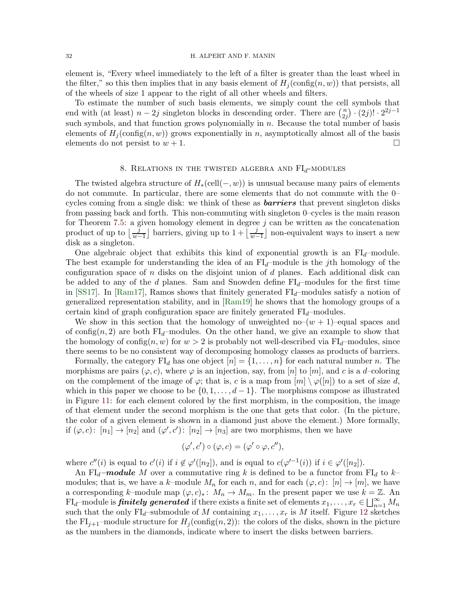### 32 H. ALPERT AND F. MANIN

element is, "Every wheel immediately to the left of a filter is greater than the least wheel in the filter," so this then implies that in any basis element of  $H_j(\text{config}(n, w))$  that persists, all of the wheels of size 1 appear to the right of all other wheels and filters.

To estimate the number of such basis elements, we simply count the cell symbols that end with (at least)  $n-2j$  singleton blocks in descending order. There are  $\binom{n}{2i}$  $\binom{n}{2j} \cdot (2j)! \cdot 2^{2j-1}$ such symbols, and that function grows polynomially in n. Because the total number of basis elements of  $H_i(\text{config}(n, w))$  grows exponentially in n, asymptotically almost all of the basis elements do not persist to  $w + 1$ .

# 8. RELATIONS IN THE TWISTED ALGEBRA AND  $FI<sub>d</sub>$ -MODULES

<span id="page-31-0"></span>The twisted algebra structure of  $H_*(\text{cell}(-, w))$  is unusual because many pairs of elements do not commute. In particular, there are some elements that do not commute with the 0– cycles coming from a single disk: we think of these as **barriers** that prevent singleton disks from passing back and forth. This non-commuting with singleton 0–cycles is the main reason for Theorem [7.5:](#page-30-1) a given homology element in degree  $j$  can be written as the concatenation product of up to  $\lfloor \frac{j}{w-1} \rfloor$  barriers, giving up to  $1 + \lfloor \frac{j}{w-1} \rfloor$  non-equivalent ways to insert a new disk as a singleton.

One algebraic object that exhibits this kind of exponential growth is an  $FI_d$ -module. The best example for understanding the idea of an  $FI_d$ -module is the jth homology of the configuration space of n disks on the disjoint union of  $d$  planes. Each additional disk can be added to any of the d planes. Sam and Snowden define  $FI_d$ –modules for the first time in [\[SS17\]](#page-43-4). In [\[Ram17\]](#page-43-5), Ramos shows that finitely generated  $FI_d$ –modules satisfy a notion of generalized representation stability, and in [\[Ram19\]](#page-43-6) he shows that the homology groups of a certain kind of graph configuration space are finitely generated  $FI<sub>d</sub>$ –modules.

We show in this section that the homology of unweighted no– $(w + 1)$ –equal spaces and of config(n, 2) are both  $FI<sub>d</sub>$ -modules. On the other hand, we give an example to show that the homology of config $(n, w)$  for  $w > 2$  is probably not well-described via FI<sub>d</sub>–modules, since there seems to be no consistent way of decomposing homology classes as products of barriers.

Formally, the category  $FI_d$  has one object  $[n] = \{1, \ldots, n\}$  for each natural number n. The morphisms are pairs  $(\varphi, c)$ , where  $\varphi$  is an injection, say, from [n] to [m], and c is a d–coloring on the complement of the image of  $\varphi$ ; that is, c is a map from  $[m] \setminus \varphi([n])$  to a set of size d, which in this paper we choose to be  $\{0, 1, \ldots, d-1\}$ . The morphisms compose as illustrated in Figure [11:](#page-32-0) for each element colored by the first morphism, in the composition, the image of that element under the second morphism is the one that gets that color. (In the picture, the color of a given element is shown in a diamond just above the element.) More formally, if  $(\varphi, c)$ :  $[n_1] \to [n_2]$  and  $(\varphi', c')$ :  $[n_2] \to [n_3]$  are two morphisms, then we have

$$
(\varphi', c') \circ (\varphi, c) = (\varphi' \circ \varphi, c''),
$$

where  $c''(i)$  is equal to  $c'(i)$  if  $i \notin \varphi'([n_2])$ , and is equal to  $c(\varphi'^{-1}(i))$  if  $i \in \varphi'([n_2])$ .

An FI<sub>d</sub>–module M over a commutative ring k is defined to be a functor from FI<sub>d</sub> to k– modules; that is, we have a k–module  $M_n$  for each n, and for each  $(\varphi, c) : [n] \to [m]$ , we have a corresponding k–module map  $(\varphi, c)_*: M_n \to M_m$ . In the present paper we use  $k = \mathbb{Z}$ . An  $\text{FI}_d\text{--module} \text{ is } \hat{\pmb{f}} \textit{initely generated} \text{ if there exists a finite set of elements } x_1,\ldots,x_r \in \bigsqcup_{n=1}^{\infty} M_n$ such that the only  $FI_d$ -submodule of M containing  $x_1, \ldots, x_r$  is M itself. Figure [12](#page-32-1) sketches the FI<sub>j+1</sub>–module structure for  $H_i(\text{config}(n, 2))$ : the colors of the disks, shown in the picture as the numbers in the diamonds, indicate where to insert the disks between barriers.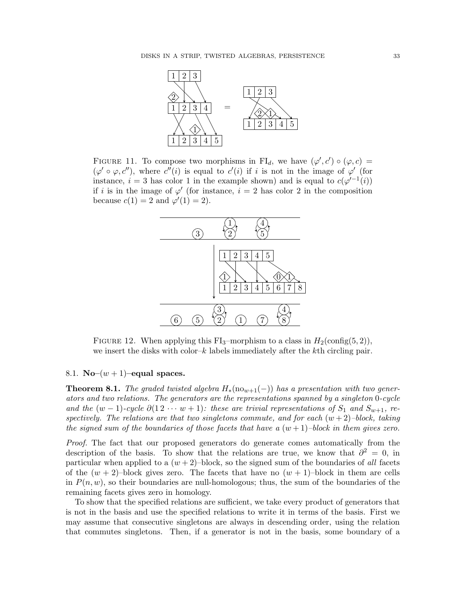<span id="page-32-0"></span>

<span id="page-32-1"></span>FIGURE 11. To compose two morphisms in FI<sub>d</sub>, we have  $(\varphi', c') \circ (\varphi, c) =$  $(\varphi' \circ \varphi, c'')$ , where  $c''(i)$  is equal to  $c'(i)$  if i is not in the image of  $\varphi'$  (for instance,  $i = 3$  has color 1 in the example shown) and is equal to  $c(\varphi^{-1}(i))$ if i is in the image of  $\varphi'$  (for instance,  $i = 2$  has color 2 in the composition because  $c(1) = 2$  and  $\varphi'(1) = 2$ .



FIGURE 12. When applying this FI<sub>3</sub>–morphism to a class in  $H_2(\text{config}(5, 2)),$ we insert the disks with color– $k$  labels immediately after the kth circling pair.

## 8.1. No– $(w+1)$ –equal spaces.

<span id="page-32-2"></span>**Theorem 8.1.** The graded twisted algebra  $H_*(no_{w+1}(-))$  has a presentation with two generators and two relations. The generators are the representations spanned by a singleton 0-cycle and the  $(w-1)$ -cycle  $\partial(12 \cdots w+1)$ : these are trivial representations of  $S_1$  and  $S_{w+1}$ , respectively. The relations are that two singletons commute, and for each  $(w+2)$ -block, taking the signed sum of the boundaries of those facets that have a  $(w+1)$ –block in them gives zero.

Proof. The fact that our proposed generators do generate comes automatically from the description of the basis. To show that the relations are true, we know that  $\partial^2 = 0$ , in particular when applied to a  $(w+2)$ –block, so the signed sum of the boundaries of all facets of the  $(w + 2)$ –block gives zero. The facets that have no  $(w + 1)$ –block in them are cells in  $P(n, w)$ , so their boundaries are null-homologous; thus, the sum of the boundaries of the remaining facets gives zero in homology.

To show that the specified relations are sufficient, we take every product of generators that is not in the basis and use the specified relations to write it in terms of the basis. First we may assume that consecutive singletons are always in descending order, using the relation that commutes singletons. Then, if a generator is not in the basis, some boundary of a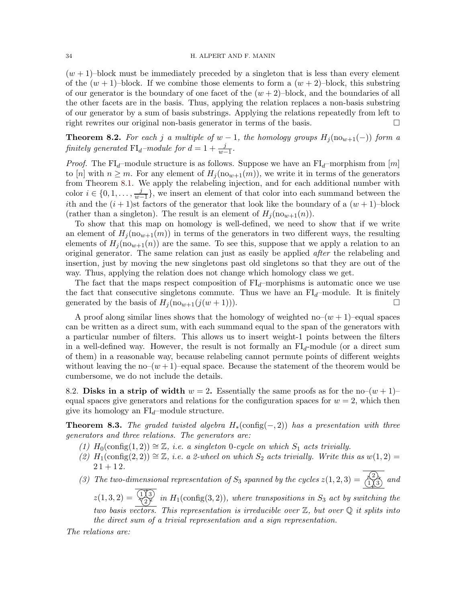$(w + 1)$ –block must be immediately preceded by a singleton that is less than every element of the  $(w + 1)$ –block. If we combine those elements to form a  $(w + 2)$ –block, this substring of our generator is the boundary of one facet of the  $(w + 2)$ –block, and the boundaries of all the other facets are in the basis. Thus, applying the relation replaces a non-basis substring of our generator by a sum of basis substrings. Applying the relations repeatedly from left to right rewrites our original non-basis generator in terms of the basis.

<span id="page-33-0"></span>**Theorem 8.2.** For each j a multiple of  $w - 1$ , the homology groups  $H_j(\text{no}_{w+1}(-))$  form a finitely generated  $\text{FI}_d$ -module for  $d = 1 + \frac{j}{w-1}$ .

*Proof.* The FI<sub>d</sub>–module structure is as follows. Suppose we have an FI<sub>d</sub>–morphism from [m] to [n] with  $n \geq m$ . For any element of  $H_i(\text{no}_{w+1}(m))$ , we write it in terms of the generators from Theorem [8.1.](#page-32-2) We apply the relabeling injection, and for each additional number with color  $i \in \{0, 1, \ldots, \frac{j}{w-1}\}$  $\frac{J}{w-1}$ , we insert an element of that color into each summand between the ith and the  $(i + 1)$ st factors of the generator that look like the boundary of a  $(w + 1)$ -block (rather than a singleton). The result is an element of  $H_i(\text{no}_{w+1}(n))$ .

To show that this map on homology is well-defined, we need to show that if we write an element of  $H_i(\text{no}_{w+1}(m))$  in terms of the generators in two different ways, the resulting elements of  $H_i(\text{no}_{w+1}(n))$  are the same. To see this, suppose that we apply a relation to an original generator. The same relation can just as easily be applied after the relabeling and insertion, just by moving the new singletons past old singletons so that they are out of the way. Thus, applying the relation does not change which homology class we get.

The fact that the maps respect composition of  $FI_d$ –morphisms is automatic once we use the fact that consecutive singletons commute. Thus we have an  $FI<sub>d</sub>$ –module. It is finitely generated by the basis of  $H_i(\text{no}_{w+1}(j(w+1)))$ .

A proof along similar lines shows that the homology of weighted no– $(w + 1)$ –equal spaces can be written as a direct sum, with each summand equal to the span of the generators with a particular number of filters. This allows us to insert weight-1 points between the filters in a well-defined way. However, the result is not formally an  $FI_d$ -module (or a direct sum of them) in a reasonable way, because relabeling cannot permute points of different weights without leaving the no– $(w + 1)$ –equal space. Because the statement of the theorem would be cumbersome, we do not include the details.

8.2. Disks in a strip of width  $w = 2$ . Essentially the same proofs as for the no– $(w + 1)$ – equal spaces give generators and relations for the configuration spaces for  $w = 2$ , which then give its homology an  $FI_d$ –module structure.

**Theorem 8.3.** The graded twisted algebra  $H_*(\text{config}(-, 2))$  has a presentation with three generators and three relations. The generators are:

- (1)  $H_0(\text{config}(1,2)) \cong \mathbb{Z}$ , i.e. a singleton 0-cycle on which  $S_1$  acts trivially.
- (2)  $H_1(\text{config}(2, 2)) \cong \mathbb{Z}$ , i.e. a 2-wheel on which  $S_2$  acts trivially. Write this as  $w(1, 2) =$  $21 + 12.$
- (3) The two-dimensional representation of  $S_3$  spanned by the cycles  $z(1,2,3) = \frac{\langle 2 \rangle}{\langle 1 \rangle \langle 3 \rangle}$  and

 $z(1,3,2) = \frac{113}{27}$  in  $H_1(\text{config}(3,2))$ , where transpositions in  $S_3$  act by switching the two basis vectors. This representation is irreducible over  $\mathbb Z$ , but over  $\mathbb Q$  it splits into the direct sum of a trivial representation and a sign representation.

The relations are: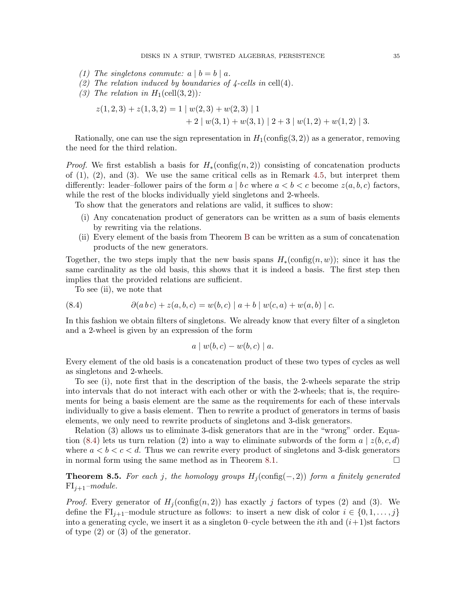- (1) The singletons commute:  $a | b = b | a$ .
- (2) The relation induced by boundaries of  $\frac{1}{4}$ -cells in cell(4).
- (3) The relation in  $H_1(\text{cell}(3,2))$ :

$$
z(1,2,3) + z(1,3,2) = 1 | w(2,3) + w(2,3) | 1 + 2 | w(3,1) + w(3,1) | 2+3 | w(1,2) + w(1,2) | 3.
$$

Rationally, one can use the sign representation in  $H_1(\text{config}(3, 2))$  as a generator, removing the need for the third relation.

*Proof.* We first establish a basis for  $H_*(\text{config}(n,2))$  consisting of concatenation products of  $(1)$ ,  $(2)$ , and  $(3)$ . We use the same critical cells as in Remark [4.5,](#page-17-0) but interpret them differently: leader–follower pairs of the form  $a \mid b \, c$  where  $a \leq b \leq c$  become  $z(a, b, c)$  factors, while the rest of the blocks individually yield singletons and 2-wheels.

To show that the generators and relations are valid, it suffices to show:

- (i) Any concatenation product of generators can be written as a sum of basis elements by rewriting via the relations.
- (ii) Every element of the basis from Theorem [B](#page-3-0) can be written as a sum of concatenation products of the new generators.

Together, the two steps imply that the new basis spans  $H_*(\text{config}(n, w));$  since it has the same cardinality as the old basis, this shows that it is indeed a basis. The first step then implies that the provided relations are sufficient.

<span id="page-34-0"></span>To see (ii), we note that

(8.4) 
$$
\partial(ab c) + z(a, b, c) = w(b, c) |a + b| w(c, a) + w(a, b) |c.
$$

In this fashion we obtain filters of singletons. We already know that every filter of a singleton and a 2-wheel is given by an expression of the form

$$
a \mid w(b, c) - w(b, c) \mid a.
$$

Every element of the old basis is a concatenation product of these two types of cycles as well as singletons and 2-wheels.

To see (i), note first that in the description of the basis, the 2-wheels separate the strip into intervals that do not interact with each other or with the 2-wheels; that is, the requirements for being a basis element are the same as the requirements for each of these intervals individually to give a basis element. Then to rewrite a product of generators in terms of basis elements, we only need to rewrite products of singletons and 3-disk generators.

Relation (3) allows us to eliminate 3-disk generators that are in the "wrong" order. Equa-tion [\(8.4\)](#page-34-0) lets us turn relation (2) into a way to eliminate subwords of the form  $a \mid z(b, c, d)$ where  $a < b < c < d$ . Thus we can rewrite every product of singletons and 3-disk generators in normal form using the same method as in Theorem [8.1.](#page-32-2)  $\Box$ 

**Theorem 8.5.** For each j, the homology groups  $H_j(\text{config}(-, 2))$  form a finitely generated  $FI_{i+1}$ –module.

*Proof.* Every generator of  $H_i(\text{config}(n, 2))$  has exactly j factors of types (2) and (3). We define the FI<sub>j+1</sub>–module structure as follows: to insert a new disk of color  $i \in \{0, 1, \ldots, j\}$ into a generating cycle, we insert it as a singleton 0–cycle between the *i*th and  $(i+1)$ st factors of type (2) or (3) of the generator.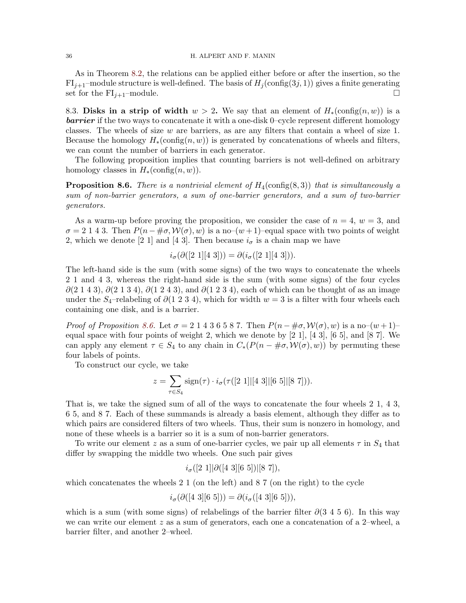### 36 H. ALPERT AND F. MANIN

As in Theorem [8.2,](#page-33-0) the relations can be applied either before or after the insertion, so the  $FI_{j+1}$ –module structure is well-defined. The basis of  $H_j(\text{config}(3j, 1))$  gives a finite generating set for the  $FI_{j+1}$ –module.

8.3. Disks in a strip of width  $w > 2$ . We say that an element of  $H_*(\text{config}(n, w))$  is a **barrier** if the two ways to concatenate it with a one-disk 0–cycle represent different homology classes. The wheels of size  $w$  are barriers, as are any filters that contain a wheel of size 1. Because the homology  $H_*(\text{config}(n, w))$  is generated by concatenations of wheels and filters, we can count the number of barriers in each generator.

The following proposition implies that counting barriers is not well-defined on arbitrary homology classes in  $H_*(\text{config}(n, w))$ .

<span id="page-35-0"></span>**Proposition 8.6.** There is a nontrivial element of  $H_4$ (config(8,3)) that is simultaneously a sum of non-barrier generators, a sum of one-barrier generators, and a sum of two-barrier generators.

As a warm-up before proving the proposition, we consider the case of  $n = 4$ ,  $w = 3$ , and  $\sigma = 2$  1 4 3. Then  $P(n - \#\sigma, \mathcal{W}(\sigma), w)$  is a no– $(w + 1)$ –equal space with two points of weight 2, which we denote [2 1] and [4 3]. Then because  $i_{\sigma}$  is a chain map we have

$$
i_{\sigma}(\partial([2\;1][4\;3])) = \partial(i_{\sigma}([2\;1][4\;3])).
$$

The left-hand side is the sum (with some signs) of the two ways to concatenate the wheels 2 1 and 4 3, whereas the right-hand side is the sum (with some signs) of the four cycles  $\partial(2\ 1\ 4\ 3)$ ,  $\partial(2\ 1\ 3\ 4)$ ,  $\partial(1\ 2\ 4\ 3)$ , and  $\partial(1\ 2\ 3\ 4)$ , each of which can be thought of as an image under the S<sub>4</sub>–relabeling of  $\partial(1\ 2\ 3\ 4)$ , which for width  $w=3$  is a filter with four wheels each containing one disk, and is a barrier.

*Proof of Proposition [8.6.](#page-35-0)* Let  $\sigma = 2 \cdot 1 \cdot 4 \cdot 3 \cdot 6 \cdot 5 \cdot 8 \cdot 7$ . Then  $P(n - \# \sigma, \mathcal{W}(\sigma), w)$  is a no– $(w + 1)$ – equal space with four points of weight 2, which we denote by  $[2 1]$ ,  $[4 3]$ ,  $[6 5]$ , and  $[8 7]$ . We can apply any element  $\tau \in S_4$  to any chain in  $C_*(P(n - \#\sigma, \mathcal{W}(\sigma), w))$  by permuting these four labels of points.

To construct our cycle, we take

$$
z = \sum_{\tau \in S_4} sign(\tau) \cdot i_{\sigma}(\tau([2\;1]|[4\;3]|[6\;5]|[8\;7])).
$$

That is, we take the signed sum of all of the ways to concatenate the four wheels 2 1, 4 3, 6 5, and 8 7. Each of these summands is already a basis element, although they differ as to which pairs are considered filters of two wheels. Thus, their sum is nonzero in homology, and none of these wheels is a barrier so it is a sum of non-barrier generators.

To write our element z as a sum of one-barrier cycles, we pair up all elements  $\tau$  in  $S_4$  that differ by swapping the middle two wheels. One such pair gives

$$
i_{\sigma}([2\;1]|\partial([4\;3][6\;5])|[8\;7]),
$$

which concatenates the wheels  $2\ 1$  (on the left) and  $8\ 7$  (on the right) to the cycle

$$
i_{\sigma}(\partial([4\;3][6\;5])) = \partial(i_{\sigma}([4\;3][6\;5])),
$$

which is a sum (with some signs) of relabelings of the barrier filter  $\partial(3\ 4\ 5\ 6)$ . In this way we can write our element z as a sum of generators, each one a concatenation of a 2–wheel, a barrier filter, and another 2–wheel.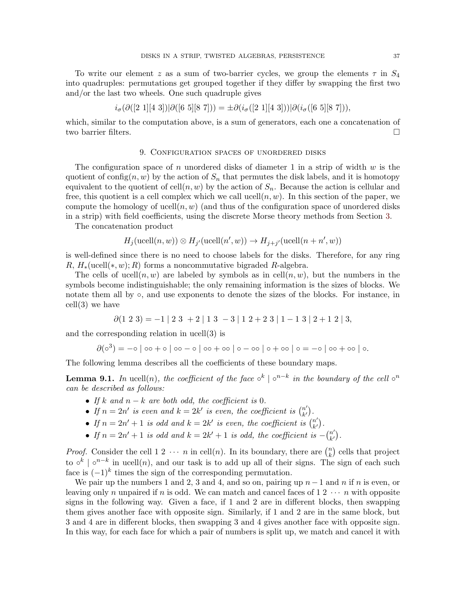To write our element z as a sum of two-barrier cycles, we group the elements  $\tau$  in  $S_4$ into quadruples: permutations get grouped together if they differ by swapping the first two and/or the last two wheels. One such quadruple gives

$$
i_{\sigma}(\partial([2\ 1][4\ 3])|\partial([6\ 5][8\ 7])) = \pm \partial(i_{\sigma}([2\ 1][4\ 3]))|\partial(i_{\sigma}([6\ 5][8\ 7])),
$$

<span id="page-36-0"></span>which, similar to the computation above, is a sum of generators, each one a concatenation of two barrier filters.

### 9. Configuration spaces of unordered disks

The configuration space of n unordered disks of diameter 1 in a strip of width  $w$  is the quotient of config $(n, w)$  by the action of  $S_n$  that permutes the disk labels, and it is homotopy equivalent to the quotient of  $cell(n, w)$  by the action of  $S_n$ . Because the action is cellular and free, this quotient is a cell complex which we call ucell $(n, w)$ . In this section of the paper, we compute the homology of ucell $(n, w)$  (and thus of the configuration space of unordered disks in a strip) with field coefficients, using the discrete Morse theory methods from Section [3.](#page-11-0)

The concatenation product

$$
H_j(\text{ucell}(n, w)) \otimes H_{j'}(\text{ucell}(n', w)) \to H_{j+j'}(\text{ucell}(n + n', w))
$$

is well-defined since there is no need to choose labels for the disks. Therefore, for any ring R,  $H_*(\text{ucell}(*, w); R)$  forms a noncommutative bigraded R-algebra.

The cells of ucell $(n, w)$  are labeled by symbols as in cell $(n, w)$ , but the numbers in the symbols become indistinguishable; the only remaining information is the sizes of blocks. We notate them all by ∘, and use exponents to denote the sizes of the blocks. For instance, in cell(3) we have

$$
\partial(1\ 2\ 3) = -1 \begin{vmatrix} 2 & 3 \\ 3 & 4 \end{vmatrix} + 2 \begin{vmatrix} 1 & 3 \\ 1 & 3 \end{vmatrix} - 3 \begin{vmatrix} 1 & 2 & 4 \\ 2 & 3 & 5 \end{vmatrix} + 1 \begin{vmatrix} 1 & 3 & 4 \\ 2 & 1 & 1 \end{vmatrix} + 1 \begin{vmatrix} 1 & 3 & 4 \\ 2 & 1 & 5 \end{vmatrix}.
$$

and the corresponding relation in ucell(3) is

$$
\partial(\circ^3) = -\circ | \circ \circ + \circ | \circ \circ - \circ | \circ \circ + \circ \circ | \circ - \circ \circ | \circ + \circ \circ | \circ = -\circ | \circ \circ + \circ \circ | \circ.
$$

The following lemma describes all the coefficients of these boundary maps.

**Lemma 9.1.** In ucell $(n)$ , the coefficient of the face  $\circ^{k} | \circ^{n-k}$  in the boundary of the cell  $\circ^{n}$ can be described as follows:

- If k and  $n k$  are both odd, the coefficient is 0.
- If  $n = 2n'$  is even and  $k = 2k'$  is even, the coefficient is  $\binom{n'}{k'}$  $\binom{n'}{k'}$ .
- If  $n = 2n' + 1$  is odd and  $k = 2k'$  is even, the coefficient is  $\begin{pmatrix} n' \\ k' \end{pmatrix}$  $\binom{n'}{k'}$ .
- If  $n = 2n' + 1$  is odd and  $k = 2k' + 1$  is odd, the coefficient is  $-{n' \choose k'}$  $\binom{n'}{k'}$ .

*Proof.* Consider the cell 1 2  $\cdots$  *n* in cell(*n*). In its boundary, there are  $\binom{n}{k}$  cells that project k to  $\circ^k$  |  $\circ^{n-k}$  in ucell $(n)$ , and our task is to add up all of their signs. The sign of each such face is  $(-1)^k$  times the sign of the corresponding permutation.

We pair up the numbers 1 and 2, 3 and 4, and so on, pairing up  $n-1$  and n if n is even, or leaving only n unpaired if n is odd. We can match and cancel faces of  $1\ 2\ \cdots\ n$  with opposite signs in the following way. Given a face, if 1 and 2 are in different blocks, then swapping them gives another face with opposite sign. Similarly, if 1 and 2 are in the same block, but 3 and 4 are in different blocks, then swapping 3 and 4 gives another face with opposite sign. In this way, for each face for which a pair of numbers is split up, we match and cancel it with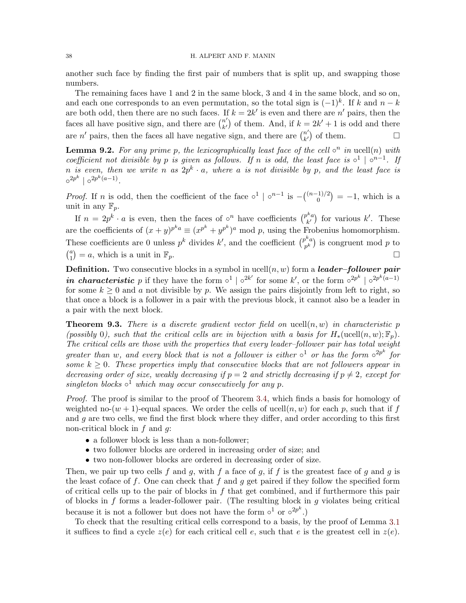### 38 H. ALPERT AND F. MANIN

another such face by finding the first pair of numbers that is split up, and swapping those numbers.

The remaining faces have 1 and 2 in the same block, 3 and 4 in the same block, and so on, and each one corresponds to an even permutation, so the total sign is  $(-1)^k$ . If k and  $n - k$ are both odd, then there are no such faces. If  $k = 2k'$  is even and there are n' pairs, then the faces all have positive sign, and there are  $\binom{n'}{k'}$  $\binom{n'}{k'}$  of them. And, if  $k = 2k' + 1$  is odd and there are n' pairs, then the faces all have negative sign, and there are  $\binom{n'}{k'}$  $\binom{n'}{k'}$  of them.

**Lemma 9.2.** For any prime p, the lexicographically least face of the cell  $\circ^n$  in ucell(n) with coefficient not divisible by p is given as follows. If n is odd, the least face is  $\circ^1 \circ^{n-1}$ . If n is even, then we write n as  $2p^k \cdot a$ , where a is not divisible by p, and the least face is  $\circ^{2p^k} \mid \circ^{2p^k(a-1)}$ .

*Proof.* If *n* is odd, then the coefficient of the face  $\circ^1 \circ^{n-1}$  is  $- \binom{(n-1)/2}{0}$  $\binom{1}{0}$  = -1, which is a unit in any  $\mathbb{F}_p$ .

If  $n = 2p^k \cdot a$  is even, then the faces of  $\circ^n$  have coefficients  $\binom{p^ka}{k'}$  $\binom{k}{k'}$  for various  $k'$ . These are the coefficients of  $(x + y)^{p^k a} \equiv (x^{p^k} + y^{p^k})^a \mod p$ , using the Frobenius homomorphism. These coefficients are 0 unless  $p^k$  divides  $k'$ , and the coefficient  $\binom{p^k a}{k}$  $\binom{p^n a}{p^k}$  is congruent mod p to  $\binom{a}{1}$  $\binom{a}{1} = a$ , which is a unit in  $\mathbb{F}_p$ .

**Definition.** Two consecutive blocks in a symbol in ucell $(n, w)$  form a **leader-follower pair** in characteristic p if they have the form  $\circ^1 | \circ^{2k'}$  for some k', or the form  $\circ^{2p^k} | \circ^{2p^k(a-1)}$ for some  $k > 0$  and a not divisible by p. We assign the pairs disjointly from left to right, so that once a block is a follower in a pair with the previous block, it cannot also be a leader in a pair with the next block.

**Theorem 9.3.** There is a discrete gradient vector field on ucell $(n, w)$  in characteristic p (possibly 0), such that the critical cells are in bijection with a basis for  $H_*(\text{ucell}(n, w); \mathbb{F}_n)$ . The critical cells are those with the properties that every leader–follower pair has total weight greater than w, and every block that is not a follower is either  $\circ^1$  or has the form  $\circ^{2p^k}$  for some  $k \geq 0$ . These properties imply that consecutive blocks that are not followers appear in decreasing order of size, weakly decreasing if  $p = 2$  and strictly decreasing if  $p \neq 2$ , except for singleton blocks  $\circ^1$  which may occur consecutively for any p.

Proof. The proof is similar to the proof of Theorem [3.4,](#page-14-2) which finds a basis for homology of weighted no-(w + 1)-equal spaces. We order the cells of ucell $(n, w)$  for each p, such that if f and  $g$  are two cells, we find the first block where they differ, and order according to this first non-critical block in  $f$  and  $g$ :

- a follower block is less than a non-follower;
- two follower blocks are ordered in increasing order of size; and
- two non-follower blocks are ordered in decreasing order of size.

Then, we pair up two cells f and g, with f a face of g, if f is the greatest face of g and g is the least coface of  $f$ . One can check that  $f$  and  $g$  get paired if they follow the specified form of critical cells up to the pair of blocks in  $f$  that get combined, and if furthermore this pair of blocks in  $f$  forms a leader-follower pair. (The resulting block in  $g$  violates being critical because it is not a follower but does not have the form  $\circ^1$  or  $\circ^{2p^k}$ .)

To check that the resulting critical cells correspond to a basis, by the proof of Lemma [3.1](#page-12-0) it suffices to find a cycle  $z(e)$  for each critical cell e, such that e is the greatest cell in  $z(e)$ .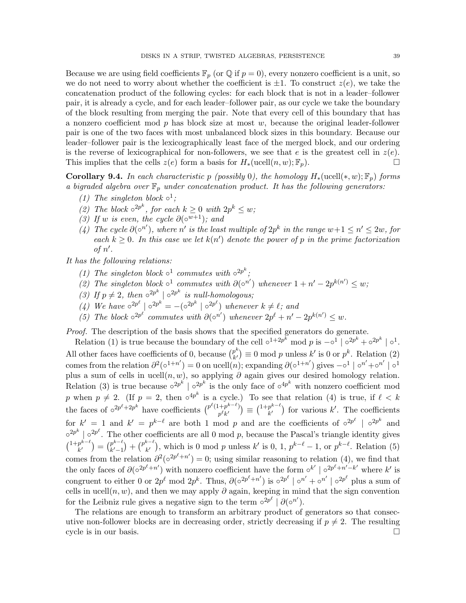Because we are using field coefficients  $\mathbb{F}_p$  (or  $\mathbb{Q}$  if  $p = 0$ ), every nonzero coefficient is a unit, so we do not need to worry about whether the coefficient is  $\pm 1$ . To construct  $z(e)$ , we take the concatenation product of the following cycles: for each block that is not in a leader–follower pair, it is already a cycle, and for each leader–follower pair, as our cycle we take the boundary of the block resulting from merging the pair. Note that every cell of this boundary that has a nonzero coefficient mod  $p$  has block size at most  $w$ , because the original leader-follower pair is one of the two faces with most unbalanced block sizes in this boundary. Because our leader–follower pair is the lexicographically least face of the merged block, and our ordering is the reverse of lexicographical for non-followers, we see that e is the greatest cell in  $z(e)$ . This implies that the cells  $z(e)$  form a basis for  $H_*(\text{ucell}(n, w); \mathbb{F}_p)$ .

**Corollary 9.4.** In each characteristic p (possibly 0), the homology  $H_*(\text{ucell}(*, w); \mathbb{F}_n)$  forms a bigraded algebra over  $\mathbb{F}_p$  under concatenation product. It has the following generators:

- (1) The singleton block  $\circ^1$ ;
- (2) The block  $\circ^{2p^k}$ , for each  $k \geq 0$  with  $2p^k \leq w$ ;
- (3) If w is even, the cycle  $\partial(\circ^{w+1})$ ; and
- (4) The cycle  $\partial(\circ^{n'})$ , where n' is the least multiple of  $2p^k$  in the range w+1 ≤ n' ≤ 2w, for each  $k \geq 0$ . In this case we let  $k(n')$  denote the power of p in the prime factorization of  $n'$ .

It has the following relations:

- (1) The singleton block  $\circ^1$  commutes with  $\circ^{2p^k}$ ;
- (2) The singleton block  $\circ^1$  commutes with  $\partial(\circ^{n'})$  whenever  $1 + n' 2p^{k(n')} \leq w$ ;
- (3) If  $p \neq 2$ , then  $\circ^{2p^k}$  |  $\circ^{2p^k}$  is null-homologous;
- (4) We have  $\circ^{2p^{\ell}} \mid \circ^{2p^k} = -(\circ^{2p^k} \mid \circ^{2p^{\ell}})$  whenever  $k \neq \ell$ ; and
- (5) The block  $\circ^{2p^{\ell}}$  commutes with  $\partial(\circ^{n'})$  whenever  $2p^{\ell} + n' 2p^{k(n')} \leq w$ .

Proof. The description of the basis shows that the specified generators do generate.

Relation (1) is true because the boundary of the cell  $\circ^{1+2p^k}$  mod p is  $-\circ^1 |\circ^{2p^k} + \circ^{2p^k} | \circ^1$ . All other faces have coefficients of 0, because  $\binom{p^k}{k'}$  $p^{\kappa}_{k'}$  = 0 mod p unless k' is 0 or  $p^{k}$ . Relation (2) comes from the relation  $\partial^2(\circ^{1+n'})=0$  on ucell $(n)$ ; expanding  $\partial(\circ^{1+n'})$  gives  $-\circ^1|\circ^{n'}+\circ^{n'}|\circ^1$ plus a sum of cells in ucell $(n, w)$ , so applying  $\partial$  again gives our desired homology relation. Relation (3) is true because  $\circ^{2p^k}$  |  $\circ^{2p^k}$  is the only face of  $\circ^{4p^k}$  with nonzero coefficient mod p when  $p \neq 2$ . (If  $p = 2$ , then  $\circ^{4p^k}$  is a cycle.) To see that relation (4) is true, if  $\ell < k$ the faces of  $\circ^{2p^{\ell}+2p^k}$  have coefficients  $\binom{p^{\ell}(1+p^{k-\ell})}{p^{\ell}p^{\ell}}$  $\binom{p^k+p^{k-\ell}}{p^\ell k'}\equiv \binom{1+p^{k-\ell}}{k'}$  $\binom{p^{k-1}}{k'}$  for various k'. The coefficients for  $k' = 1$  and  $k' = p^{k-\ell}$  are both 1 mod p and are the coefficients of  $\circ^{2p^{\ell}}$  |  $\circ^{2p^k}$  and  $\circ^{2p^k}$  |  $\circ^{2p^\ell}$ . The other coefficients are all 0 mod p, because the Pascal's triangle identity gives  $\binom{1+p^{k-\ell}}{k}$  $\binom{p^{k-\ell}}{k'}=\binom{p^{k-\ell}}{k'-1}$  $\binom{p^{k-\ell}}{k'-1} + \binom{p^{k-\ell}}{k'}$  $\binom{k}{k'}$ , which is 0 mod p unless k' is 0, 1,  $p^{k-\ell} - 1$ , or  $p^{k-\ell}$ . Relation (5) comes from the relation  $\partial^2(\circ^{2p^{\ell}+n'})=0$ ; using similar reasoning to relation (4), we find that the only faces of  $\partial (\circ^{2p^{\ell}+n'})$  with nonzero coefficient have the form  $\circ^{k'} | \circ^{2p^{\ell}+n'-k'}$  where k' is congruent to either 0 or  $2p^{\ell}$  mod  $2p^k$ . Thus,  $\partial(\circ^{2p^{\ell}+n'})$  is  $\circ^{2p^{\ell}} \mid \circ^{n'} + \circ^{n'} \mid \circ^{2p^{\ell}}$  plus a sum of cells in ucell $(n, w)$ , and then we may apply  $\partial$  again, keeping in mind that the sign convention for the Leibniz rule gives a negative sign to the term  $\circ^{2p^{\ell}} \left[ \partial(\circ^{n'}) \right]$ .

The relations are enough to transform an arbitrary product of generators so that consecutive non-follower blocks are in decreasing order, strictly decreasing if  $p \neq 2$ . The resulting cycle is in our basis.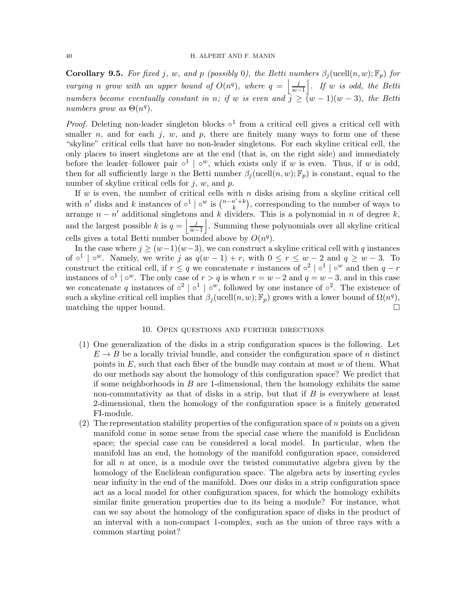**Corollary 9.5.** For fixed j, w, and p (possibly 0), the Betti numbers  $\beta_j(\text{ucell}(n, w); \mathbb{F}_p)$  for varying n grow with an upper bound of  $O(n^q)$ , where  $q = \frac{j}{n}$  $\frac{j}{w-1}$ . If w is odd, the Betti numbers become eventually constant in n; if w is even and  $j \geq (w-1)(w-3)$ , the Betti numbers grow as  $\Theta(n^q)$ .

*Proof.* Deleting non-leader singleton blocks  $\circ^1$  from a critical cell gives a critical cell with smaller n, and for each j, w, and p, there are finitely many ways to form one of these "skyline" critical cells that have no non-leader singletons. For each skyline critical cell, the only places to insert singletons are at the end (that is, on the right side) and immediately before the leader–follower pair  $\circ^1 \circ^w$ , which exists only if w is even. Thus, if w is odd, then for all sufficiently large n the Betti number  $\beta_i(\text{ucell}(n, w); \mathbb{F}_p)$  is constant, equal to the number of skyline critical cells for  $j, w$ , and  $p$ .

If  $w$  is even, the number of critical cells with  $n$  disks arising from a skyline critical cell with n' disks and k instances of  $\circ^1 | \circ^w$  is  $\binom{n-n'+k}{k}$  $\binom{n'+k}{k}$ , corresponding to the number of ways to arrange  $n - n'$  additional singletons and k dividers. This is a polynomial in n of degree k, and the largest possible k is  $q = \frac{j}{w-1}$  $\left| \frac{j}{w-1} \right|$ . Summing these polynomials over all skyline critical cells gives a total Betti number bounded above by  $O(n^q)$ .

In the case where  $j \geq (w-1)(w-3)$ , we can construct a skyline critical cell with q instances of  $\circ^1$  |  $\circ^w$ . Namely, we write j as  $q(w-1) + r$ , with  $0 \le r \le w-2$  and  $q \ge w-3$ . To construct the critical cell, if  $r \leq q$  we concatenate r instances of  $\circ^2 | \circ^1 | \circ^w$  and then  $q-r$ instances of  $\circ^1$  |  $\circ^w$ . The only case of  $r > q$  is when  $r = w - 2$  and  $q = w - 3$ , and in this case we concatenate q instances of  $\circ^2$  |  $\circ^1$  |  $\circ^w$ , followed by one instance of  $\circ^2$ . The existence of such a skyline critical cell implies that  $\beta_j(\text{ucell}(n, w); \mathbb{F}_p)$  grows with a lower bound of  $\Omega(n^q)$ , matching the upper bound.  $\square$ 

### 10. Open questions and further directions

- <span id="page-39-0"></span>(1) One generalization of the disks in a strip configuration spaces is the following. Let  $E \to B$  be a locally trivial bundle, and consider the configuration space of n distinct points in  $E$ , such that each fiber of the bundle may contain at most  $w$  of them. What do our methods say about the homology of this configuration space? We predict that if some neighborhoods in  $B$  are 1-dimensional, then the homology exhibits the same non-commutativity as that of disks in a strip, but that if  $B$  is everywhere at least 2-dimensional, then the homology of the configuration space is a finitely generated FI-module.
- (2) The representation stability properties of the configuration space of  $n$  points on a given manifold come in some sense from the special case where the manifold is Euclidean space; the special case can be considered a local model. In particular, when the manifold has an end, the homology of the manifold configuration space, considered for all  $n$  at once, is a module over the twisted commutative algebra given by the homology of the Euclidean configuration space. The algebra acts by inserting cycles near infinity in the end of the manifold. Does our disks in a strip configuration space act as a local model for other configuration spaces, for which the homology exhibits similar finite generation properties due to its being a module? For instance, what can we say about the homology of the configuration space of disks in the product of an interval with a non-compact 1-complex, such as the union of three rays with a common starting point?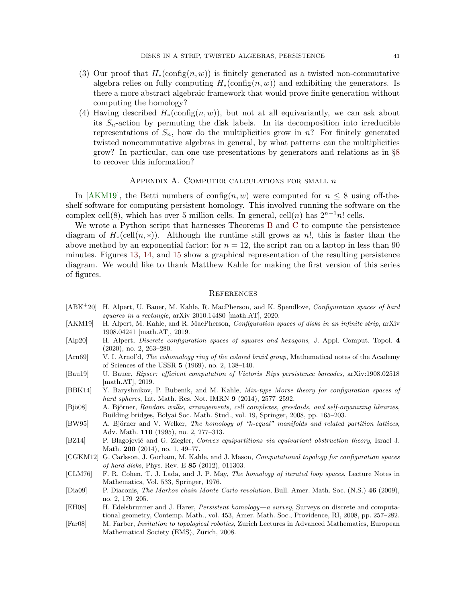- (3) Our proof that  $H_*(\text{config}(n, w))$  is finitely generated as a twisted non-commutative algebra relies on fully computing  $H_*(\text{config}(n, w))$  and exhibiting the generators. Is there a more abstract algebraic framework that would prove finite generation without computing the homology?
- (4) Having described  $H_*(\text{config}(n, w))$ , but not at all equivariantly, we can ask about its  $S_n$ -action by permuting the disk labels. In its decomposition into irreducible representations of  $S_n$ , how do the multiplicities grow in n? For finitely generated twisted noncommutative algebras in general, by what patterns can the multiplicities grow? In particular, can one use presentations by generators and relations as in §[8](#page-31-0) to recover this information?

## APPENDIX A. COMPUTER CALCULATIONS FOR SMALL  $n$

<span id="page-40-0"></span>In [\[AKM19\]](#page-40-10), the Betti numbers of config $(n, w)$  were computed for  $n \leq 8$  using off-theshelf software for computing persistent homology. This involved running the software on the complex cell(8), which has over 5 million cells. In general, cell(n) has  $2^{n-1}n!$  cells.

We wrote a Python script that harnesses Theorems [B](#page-3-0) and [C](#page-4-0) to compute the persistence diagram of  $H_*(\text{cell}(n,*))$ . Although the runtime still grows as n!, this is faster than the above method by an exponential factor; for  $n = 12$ , the script ran on a laptop in less than 90 minutes. Figures [13,](#page-41-3) [14,](#page-42-0) and [15](#page-43-7) show a graphical representation of the resulting persistence diagram. We would like to thank Matthew Kahle for making the first version of this series of figures.

## <span id="page-40-1"></span>**REFERENCES**

- <span id="page-40-9"></span>[ABK<sup>+</sup>20] H. Alpert, U. Bauer, M. Kahle, R. MacPherson, and K. Spendlove, *Configuration spaces of hard* squares in a rectangle, arXiv 2010.14480 [math.AT], 2020.
- <span id="page-40-10"></span>[AKM19] H. Alpert, M. Kahle, and R. MacPherson, Configuration spaces of disks in an infinite strip, arXiv 1908.04241 [math.AT], 2019.
- <span id="page-40-8"></span>[Alp20] H. Alpert, Discrete configuration spaces of squares and hexagons, J. Appl. Comput. Topol. 4 (2020), no. 2, 263–280.
- <span id="page-40-2"></span>[Arn69] V. I. Arnol'd, *The cohomology ring of the colored braid group*, Mathematical notes of the Academy of Sciences of the USSR 5 (1969), no. 2, 138–140.
- <span id="page-40-14"></span>[Bau19] U. Bauer, Ripser: efficient computation of Vietoris–Rips persistence barcodes, arXiv:1908.02518 [math.AT], 2019.
- <span id="page-40-6"></span>[BBK14] Y. Baryshnikov, P. Bubenik, and M. Kahle, Min-type Morse theory for configuration spaces of hard spheres, Int. Math. Res. Not. IMRN 9 (2014), 2577–2592.
- <span id="page-40-12"></span>[Bjö08] A. Björner, Random walks, arrangements, cell complexes, greedoids, and self-organizing libraries, Building bridges, Bolyai Soc. Math. Stud., vol. 19, Springer, 2008, pp. 165–203.
- <span id="page-40-11"></span>[BW95] A. Björner and V. Welker, The homology of "k-equal" manifolds and related partition lattices, Adv. Math. 110 (1995), no. 2, 277–313.
- <span id="page-40-13"></span>[BZ14] P. Blagojević and G. Ziegler, Convex equipartitions via equivariant obstruction theory, Israel J. Math. 200 (2014), no. 1, 49–77.
- <span id="page-40-7"></span>[CGKM12] G. Carlsson, J. Gorham, M. Kahle, and J. Mason, Computational topology for configuration spaces of hard disks, Phys. Rev. E 85 (2012), 011303.
- <span id="page-40-3"></span>[CLM76] F. R. Cohen, T. J. Lada, and J. P. May, The homology of iterated loop spaces, Lecture Notes in Mathematics, Vol. 533, Springer, 1976.
- <span id="page-40-4"></span>[Dia09] P. Diaconis, The Markov chain Monte Carlo revolution, Bull. Amer. Math. Soc. (N.S.) 46 (2009), no. 2, 179–205.
- <span id="page-40-15"></span>[EH08] H. Edelsbrunner and J. Harer, Persistent homology—a survey, Surveys on discrete and computational geometry, Contemp. Math., vol. 453, Amer. Math. Soc., Providence, RI, 2008, pp. 257–282.
- <span id="page-40-5"></span>[Far08] M. Farber, Invitation to topological robotics, Zurich Lectures in Advanced Mathematics, European Mathematical Society (EMS), Zürich, 2008.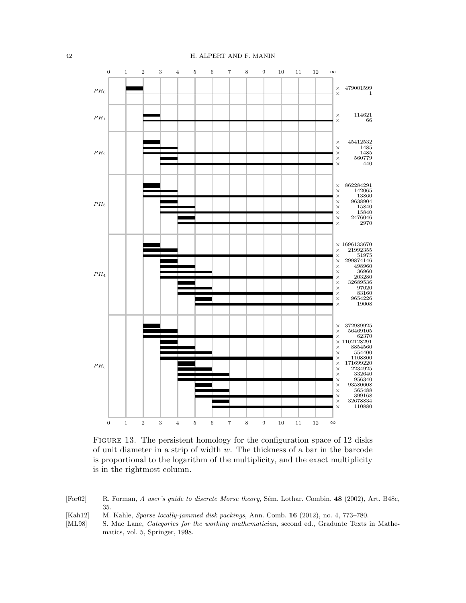<span id="page-41-3"></span>

FIGURE 13. The persistent homology for the configuration space of 12 disks of unit diameter in a strip of width w. The thickness of a bar in the barcode is proportional to the logarithm of the multiplicity, and the exact multiplicity is in the rightmost column.

- <span id="page-41-2"></span>[For02] R. Forman, A user's guide to discrete Morse theory, Sém. Lothar. Combin. 48 (2002), Art. B48c, 35.
- <span id="page-41-1"></span>
- <span id="page-41-0"></span>[Kah12] M. Kahle, *Sparse locally-jammed disk packings*, Ann. Comb. **16** (2012), no. 4, 773–780.<br>[ML98] S. Mac Lane, *Categories for the working mathematician*, second ed., Graduate Texts S. Mac Lane, Categories for the working mathematician, second ed., Graduate Texts in Mathematics, vol. 5, Springer, 1998.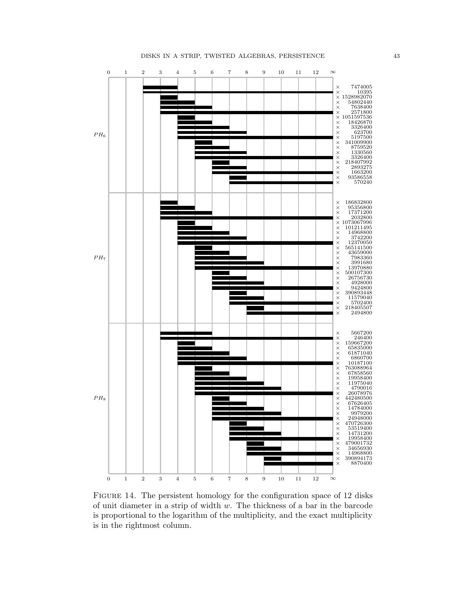<span id="page-42-0"></span>

FIGURE 14. The persistent homology for the configuration space of 12 disks of unit diameter in a strip of width  $w$ . The thickness of a bar in the barcode is proportional to the logarithm of the multiplicity, and the exact multiplicity is in the rightmost column.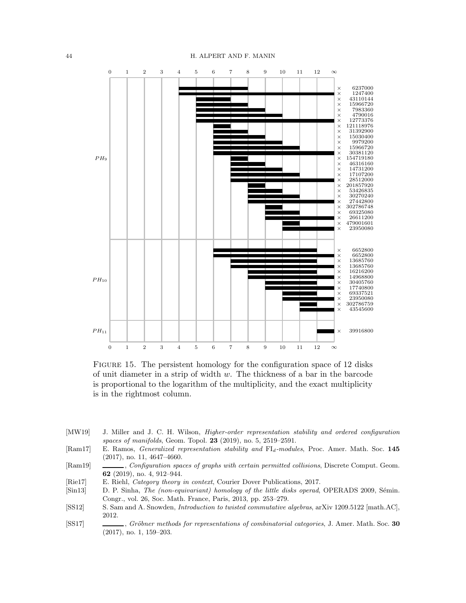<span id="page-43-7"></span>

FIGURE 15. The persistent homology for the configuration space of 12 disks of unit diameter in a strip of width  $w$ . The thickness of a bar in the barcode is proportional to the logarithm of the multiplicity, and the exact multiplicity is in the rightmost column.

- <span id="page-43-2"></span>[MW19] J. Miller and J. C. H. Wilson, Higher-order representation stability and ordered configuration spaces of manifolds, Geom. Topol. 23 (2019), no. 5, 2519–2591.
- <span id="page-43-5"></span>[Ram17] E. Ramos, *Generalized representation stability and* FI<sub>d</sub>-modules, Proc. Amer. Math. Soc. 145 (2017), no. 11, 4647–4660.
- <span id="page-43-6"></span>[Ram19] , Configuration spaces of graphs with certain permitted collisions, Discrete Comput. Geom. 62 (2019), no. 4, 912–944.
- <span id="page-43-3"></span>[Rie17] E. Riehl, Category theory in context, Courier Dover Publications, 2017.
- <span id="page-43-0"></span>[Sin13] D. P. Sinha, The (non-equivariant) homology of the little disks operad, OPERADS 2009, Sémin. Congr., vol. 26, Soc. Math. France, Paris, 2013, pp. 253–279.
- <span id="page-43-1"></span>[SS12] S. Sam and A. Snowden, Introduction to twisted commutative algebras, arXiv 1209.5122 [math.AC], 2012.
- <span id="page-43-4"></span>[SS17] , Gröbner methods for representations of combinatorial categories, J. Amer. Math. Soc. 30 (2017), no. 1, 159–203.